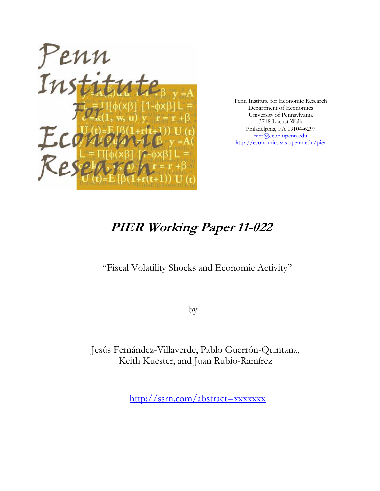

Penn Institute for Economic Research Department of Economics University of Pennsylvania 3718 Locust Walk Philadelphia, PA 19104-6297 pier@econ.upenn.edu http://economics.sas.upenn.edu/pier

# **PIER Working Paper 11-022**

"Fiscal Volatility Shocks and Economic Activity"

by

Jesús Fernández-Villaverde, Pablo Guerrón-Quintana, Keith Kuester, and Juan Rubio-Ramírez

http://ssrn.com/abstract=xxxxxxx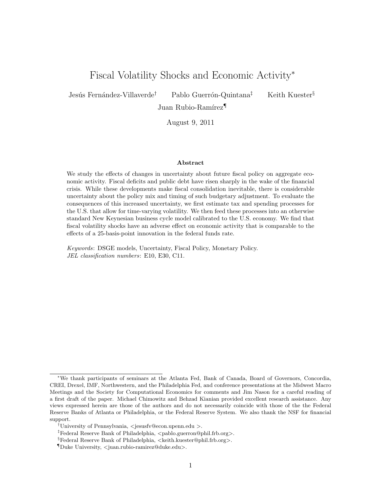# Fiscal Volatility Shocks and Economic Activity<sup>∗</sup>

Jesús Fernández-Villaverde<sup>†</sup> Pablo Guerrón-Quintana<sup>‡</sup> Keith Kuester<sup>§</sup>

Juan Rubio-Ramírez

August 9, 2011

#### Abstract

We study the effects of changes in uncertainty about future fiscal policy on aggregate economic activity. Fiscal deficits and public debt have risen sharply in the wake of the financial crisis. While these developments make fiscal consolidation inevitable, there is considerable uncertainty about the policy mix and timing of such budgetary adjustment. To evaluate the consequences of this increased uncertainty, we first estimate tax and spending processes for the U.S. that allow for time-varying volatility. We then feed these processes into an otherwise standard New Keynesian business cycle model calibrated to the U.S. economy. We find that fiscal volatility shocks have an adverse effect on economic activity that is comparable to the effects of a 25-basis-point innovation in the federal funds rate.

Keywords: DSGE models, Uncertainty, Fiscal Policy, Monetary Policy. JEL classification numbers: E10, E30, C11.

<sup>∗</sup>We thank participants of seminars at the Atlanta Fed, Bank of Canada, Board of Governors, Concordia, CREI, Drexel, IMF, Northwestern, and the Philadelphia Fed, and conference presentations at the Midwest Macro Meetings and the Society for Computational Economics for comments and Jim Nason for a careful reading of a first draft of the paper. Michael Chimowitz and Behzad Kianian provided excellent research assistance. Any views expressed herein are those of the authors and do not necessarily coincide with those of the the Federal Reserve Banks of Atlanta or Philadelphia, or the Federal Reserve System. We also thank the NSF for financial support.

<sup>†</sup>University of Pennsylvania, <jesusfv@econ.upenn.edu >.

<sup>&</sup>lt;sup>‡</sup>Federal Reserve Bank of Philadelphia, <pablo.guerron@phil.frb.org>.

 $\S$ Federal Reserve Bank of Philadelphia,  $\leq$ keith.kuester@phil.frb.org>.

<sup>¶</sup>Duke University, <juan.rubio-ramirez@duke.edu>.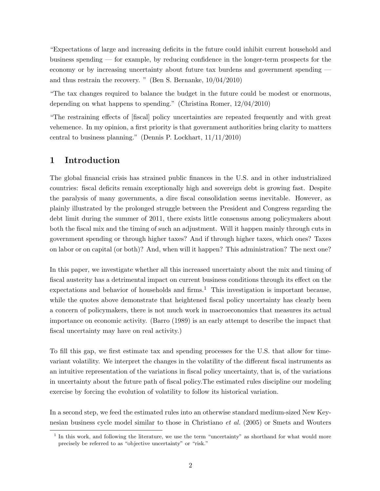"Expectations of large and increasing deficits in the future could inhibit current household and business spending — for example, by reducing confidence in the longer-term prospects for the economy or by increasing uncertainty about future tax burdens and government spending and thus restrain the recovery. " (Ben S. Bernanke, 10/04/2010)

"The tax changes required to balance the budget in the future could be modest or enormous, depending on what happens to spending." (Christina Romer, 12/04/2010)

"The restraining effects of [fiscal] policy uncertainties are repeated frequently and with great vehemence. In my opinion, a first priority is that government authorities bring clarity to matters central to business planning." (Dennis P. Lockhart, 11/11/2010)

# 1 Introduction

The global financial crisis has strained public finances in the U.S. and in other industrialized countries: fiscal deficits remain exceptionally high and sovereign debt is growing fast. Despite the paralysis of many governments, a dire fiscal consolidation seems inevitable. However, as plainly illustrated by the prolonged struggle between the President and Congress regarding the debt limit during the summer of 2011, there exists little consensus among policymakers about both the fiscal mix and the timing of such an adjustment. Will it happen mainly through cuts in government spending or through higher taxes? And if through higher taxes, which ones? Taxes on labor or on capital (or both)? And, when will it happen? This administration? The next one?

In this paper, we investigate whether all this increased uncertainty about the mix and timing of fiscal austerity has a detrimental impact on current business conditions through its effect on the expectations and behavior of households and firms.<sup>1</sup> This investigation is important because, while the quotes above demonstrate that heightened fiscal policy uncertainty has clearly been a concern of policymakers, there is not much work in macroeconomics that measures its actual importance on economic activity. (Barro (1989) is an early attempt to describe the impact that fiscal uncertainty may have on real activity.)

To fill this gap, we first estimate tax and spending processes for the U.S. that allow for timevariant volatility. We interpret the changes in the volatility of the different fiscal instruments as an intuitive representation of the variations in fiscal policy uncertainty, that is, of the variations in uncertainty about the future path of fiscal policy.The estimated rules discipline our modeling exercise by forcing the evolution of volatility to follow its historical variation.

In a second step, we feed the estimated rules into an otherwise standard medium-sized New Keynesian business cycle model similar to those in Christiano et al. (2005) or Smets and Wouters

<sup>&</sup>lt;sup>1</sup> In this work, and following the literature, we use the term "uncertainty" as shorthand for what would more precisely be referred to as "objective uncertainty" or "risk."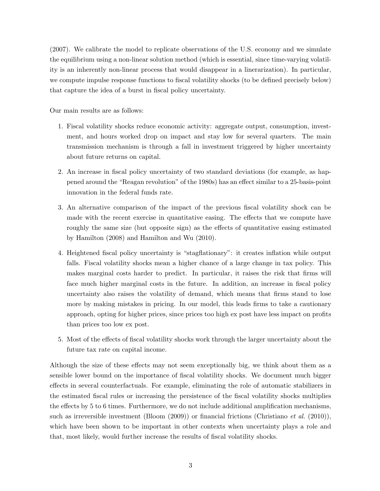(2007). We calibrate the model to replicate observations of the U.S. economy and we simulate the equilibrium using a non-linear solution method (which is essential, since time-varying volatility is an inherently non-linear process that would disappear in a linerarization). In particular, we compute impulse response functions to fiscal volatility shocks (to be defined precisely below) that capture the idea of a burst in fiscal policy uncertainty.

Our main results are as follows:

- 1. Fiscal volatility shocks reduce economic activity: aggregate output, consumption, investment, and hours worked drop on impact and stay low for several quarters. The main transmission mechanism is through a fall in investment triggered by higher uncertainty about future returns on capital.
- 2. An increase in fiscal policy uncertainty of two standard deviations (for example, as happened around the "Reagan revolution" of the 1980s) has an effect similar to a 25-basis-point innovation in the federal funds rate.
- 3. An alternative comparison of the impact of the previous fiscal volatility shock can be made with the recent exercise in quantitative easing. The effects that we compute have roughly the same size (but opposite sign) as the effects of quantitative easing estimated by Hamilton (2008) and Hamilton and Wu (2010).
- 4. Heightened fiscal policy uncertainty is "stagflationary": it creates inflation while output falls. Fiscal volatility shocks mean a higher chance of a large change in tax policy. This makes marginal costs harder to predict. In particular, it raises the risk that firms will face much higher marginal costs in the future. In addition, an increase in fiscal policy uncertainty also raises the volatility of demand, which means that firms stand to lose more by making mistakes in pricing. In our model, this leads firms to take a cautionary approach, opting for higher prices, since prices too high ex post have less impact on profits than prices too low ex post.
- 5. Most of the effects of fiscal volatility shocks work through the larger uncertainty about the future tax rate on capital income.

Although the size of these effects may not seem exceptionally big, we think about them as a sensible lower bound on the importance of fiscal volatility shocks. We document much bigger effects in several counterfactuals. For example, eliminating the role of automatic stabilizers in the estimated fiscal rules or increasing the persistence of the fiscal volatility shocks multiplies the effects by 5 to 6 times. Furthermore, we do not include additional amplification mechanisms, such as irreversible investment (Bloom  $(2009)$ ) or financial frictions (Christiano *et al.*  $(2010)$ ), which have been shown to be important in other contexts when uncertainty plays a role and that, most likely, would further increase the results of fiscal volatility shocks.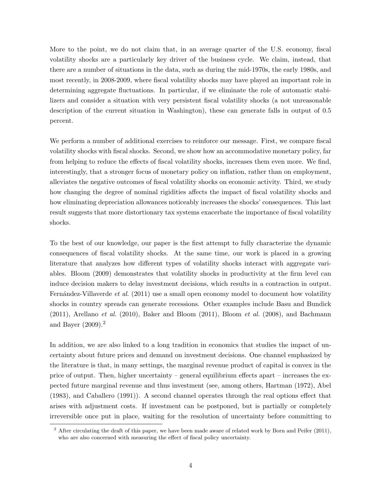More to the point, we do not claim that, in an average quarter of the U.S. economy, fiscal volatility shocks are a particularly key driver of the business cycle. We claim, instead, that there are a number of situations in the data, such as during the mid-1970s, the early 1980s, and most recently, in 2008-2009, where fiscal volatility shocks may have played an important role in determining aggregate fluctuations. In particular, if we eliminate the role of automatic stabilizers and consider a situation with very persistent fiscal volatility shocks (a not unreasonable description of the current situation in Washington), these can generate falls in output of 0.5 percent.

We perform a number of additional exercises to reinforce our message. First, we compare fiscal volatility shocks with fiscal shocks. Second, we show how an accommodative monetary policy, far from helping to reduce the effects of fiscal volatility shocks, increases them even more. We find, interestingly, that a stronger focus of monetary policy on inflation, rather than on employment, alleviates the negative outcomes of fiscal volatility shocks on economic activity. Third, we study how changing the degree of nominal rigidities affects the impact of fiscal volatility shocks and how eliminating depreciation allowances noticeably increases the shocks' consequences. This last result suggests that more distortionary tax systems exacerbate the importance of fiscal volatility shocks.

To the best of our knowledge, our paper is the first attempt to fully characterize the dynamic consequences of fiscal volatility shocks. At the same time, our work is placed in a growing literature that analyzes how different types of volatility shocks interact with aggregate variables. Bloom (2009) demonstrates that volatility shocks in productivity at the firm level can induce decision makers to delay investment decisions, which results in a contraction in output. Fernández-Villaverde et al. (2011) use a small open economy model to document how volatility shocks in country spreads can generate recessions. Other examples include Basu and Bundick  $(2011)$ , Arellano et al.  $(2010)$ , Baker and Bloom  $(2011)$ , Bloom et al.  $(2008)$ , and Bachmann and Bayer (2009).<sup>2</sup>

In addition, we are also linked to a long tradition in economics that studies the impact of uncertainty about future prices and demand on investment decisions. One channel emphasized by the literature is that, in many settings, the marginal revenue product of capital is convex in the price of output. Then, higher uncertainty – general equilibrium effects apart – increases the expected future marginal revenue and thus investment (see, among others, Hartman (1972), Abel (1983), and Caballero (1991)). A second channel operates through the real options effect that arises with adjustment costs. If investment can be postponed, but is partially or completely irreversible once put in place, waiting for the resolution of uncertainty before committing to

<sup>&</sup>lt;sup>2</sup> After circulating the draft of this paper, we have been made aware of related work by Born and Peifer  $(2011)$ , who are also concerned with measuring the effect of fiscal policy uncertainty.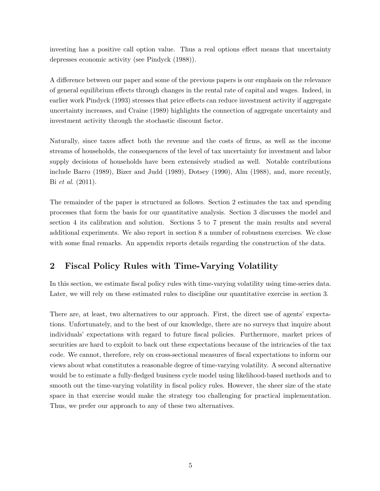investing has a positive call option value. Thus a real options effect means that uncertainty depresses economic activity (see Pindyck (1988)).

A difference between our paper and some of the previous papers is our emphasis on the relevance of general equilibrium effects through changes in the rental rate of capital and wages. Indeed, in earlier work Pindyck (1993) stresses that price effects can reduce investment activity if aggregate uncertainty increases, and Craine (1989) highlights the connection of aggregate uncertainty and investment activity through the stochastic discount factor.

Naturally, since taxes affect both the revenue and the costs of firms, as well as the income streams of households, the consequences of the level of tax uncertainty for investment and labor supply decisions of households have been extensively studied as well. Notable contributions include Barro (1989), Bizer and Judd (1989), Dotsey (1990), Alm (1988), and, more recently, Bi et al. (2011).

The remainder of the paper is structured as follows. Section 2 estimates the tax and spending processes that form the basis for our quantitative analysis. Section 3 discusses the model and section 4 its calibration and solution. Sections 5 to 7 present the main results and several additional experiments. We also report in section 8 a number of robustness exercises. We close with some final remarks. An appendix reports details regarding the construction of the data.

# 2 Fiscal Policy Rules with Time-Varying Volatility

In this section, we estimate fiscal policy rules with time-varying volatility using time-series data. Later, we will rely on these estimated rules to discipline our quantitative exercise in section 3.

There are, at least, two alternatives to our approach. First, the direct use of agents' expectations. Unfortunately, and to the best of our knowledge, there are no surveys that inquire about individuals' expectations with regard to future fiscal policies. Furthermore, market prices of securities are hard to exploit to back out these expectations because of the intricacies of the tax code. We cannot, therefore, rely on cross-sectional measures of fiscal expectations to inform our views about what constitutes a reasonable degree of time-varying volatility. A second alternative would be to estimate a fully-fledged business cycle model using likelihood-based methods and to smooth out the time-varying volatility in fiscal policy rules. However, the sheer size of the state space in that exercise would make the strategy too challenging for practical implementation. Thus, we prefer our approach to any of these two alternatives.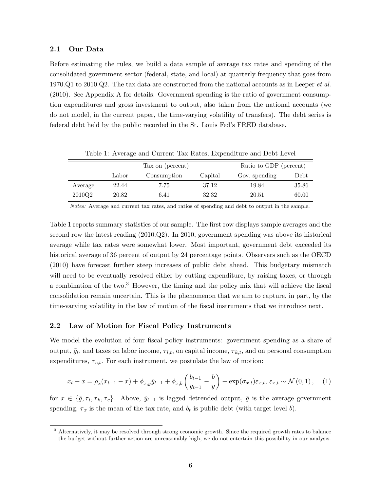## 2.1 Our Data

Before estimating the rules, we build a data sample of average tax rates and spending of the consolidated government sector (federal, state, and local) at quarterly frequency that goes from 1970.Q1 to 2010.Q2. The tax data are constructed from the national accounts as in Leeper *et al.* (2010). See Appendix A for details. Government spending is the ratio of government consumption expenditures and gross investment to output, also taken from the national accounts (we do not model, in the current paper, the time-varying volatility of transfers). The debt series is federal debt held by the public recorded in the St. Louis Fed's FRED database.

|         | Tax on (percent) |                        |       | Ratio to GDP (percent) |       |  |
|---------|------------------|------------------------|-------|------------------------|-------|--|
|         | Labor            | Capital<br>Consumption |       | Gov. spending          | Debt  |  |
| Average | 22.44            | 7.75                   | 37.12 | 19.84                  | 35.86 |  |
| 2010Q2  | 20.82            | 6.41                   | 32.32 | 20.51                  | 60.00 |  |

Table 1: Average and Current Tax Rates, Expenditure and Debt Level

Notes: Average and current tax rates, and ratios of spending and debt to output in the sample.

Table 1 reports summary statistics of our sample. The first row displays sample averages and the second row the latest reading (2010.Q2). In 2010, government spending was above its historical average while tax rates were somewhat lower. Most important, government debt exceeded its historical average of 36 percent of output by 24 percentage points. Observers such as the OECD (2010) have forecast further steep increases of public debt ahead. This budgetary mismatch will need to be eventually resolved either by cutting expenditure, by raising taxes, or through a combination of the two.<sup>3</sup> However, the timing and the policy mix that will achieve the fiscal consolidation remain uncertain. This is the phenomenon that we aim to capture, in part, by the time-varying volatility in the law of motion of the fiscal instruments that we introduce next.

#### 2.2 Law of Motion for Fiscal Policy Instruments

We model the evolution of four fiscal policy instruments: government spending as a share of output,  $\tilde{g}_t$ , and taxes on labor income,  $\tau_{l,t}$ , on capital income,  $\tau_{k,t}$ , and on personal consumption expenditures,  $\tau_{c,t}$ . For each instrument, we postulate the law of motion:

$$
x_t - x = \rho_x (x_{t-1} - x) + \phi_{x,y} \tilde{y}_{t-1} + \phi_{x,b} \left( \frac{b_{t-1}}{y_{t-1}} - \frac{b}{y} \right) + \exp(\sigma_{x,t}) \varepsilon_{x,t}, \varepsilon_{x,t} \sim \mathcal{N}(0, 1), \quad (1)
$$

for  $x \in \{\tilde{g}, \tau_l, \tau_k, \tau_c\}$ . Above,  $\tilde{y}_{t-1}$  is lagged detrended output,  $\tilde{g}$  is the average government spending,  $\tau_x$  is the mean of the tax rate, and  $b_t$  is public debt (with target level b).

<sup>&</sup>lt;sup>3</sup> Alternatively, it may be resolved through strong economic growth. Since the required growth rates to balance the budget without further action are unreasonably high, we do not entertain this possibility in our analysis.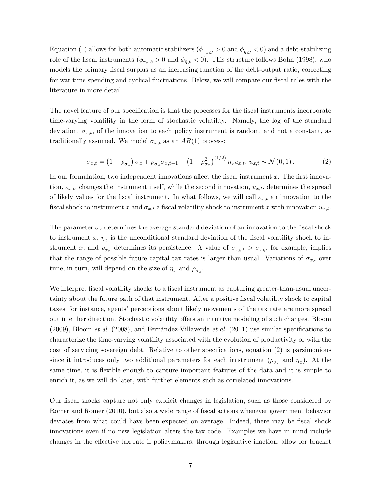Equation (1) allows for both automatic stabilizers ( $\phi_{\tau_x,y} > 0$  and  $\phi_{\tilde{g},y} < 0$ ) and a debt-stabilizing role of the fiscal instruments ( $\phi_{\tau_x,b} > 0$  and  $\phi_{\tilde{g},b} < 0$ ). This structure follows Bohn (1998), who models the primary fiscal surplus as an increasing function of the debt-output ratio, correcting for war time spending and cyclical fluctuations. Below, we will compare our fiscal rules with the literature in more detail.

The novel feature of our specification is that the processes for the fiscal instruments incorporate time-varying volatility in the form of stochastic volatility. Namely, the log of the standard deviation,  $\sigma_{x,t}$ , of the innovation to each policy instrument is random, and not a constant, as traditionally assumed. We model  $\sigma_{x,t}$  as an  $AR(1)$  process:

$$
\sigma_{x,t} = (1 - \rho_{\sigma_x}) \sigma_x + \rho_{\sigma_x} \sigma_{x,t-1} + (1 - \rho_{\sigma_x}^2)^{(1/2)} \eta_x u_{x,t}, u_{x,t} \sim \mathcal{N}(0,1).
$$
 (2)

In our formulation, two independent innovations affect the fiscal instrument  $x$ . The first innovation,  $\varepsilon_{x,t}$ , changes the instrument itself, while the second innovation,  $u_{x,t}$ , determines the spread of likely values for the fiscal instrument. In what follows, we will call  $\varepsilon_{x,t}$  an innovation to the fiscal shock to instrument x and  $\sigma_{x,t}$  a fiscal volatility shock to instrument x with innovation  $u_{x,t}$ .

The parameter  $\sigma_x$  determines the average standard deviation of an innovation to the fiscal shock to instrument x,  $\eta_x$  is the unconditional standard deviation of the fiscal volatility shock to instrument x, and  $\rho_{\sigma_x}$  determines its persistence. A value of  $\sigma_{\tau_k,t} > \sigma_{\tau_k}$ , for example, implies that the range of possible future capital tax rates is larger than usual. Variations of  $\sigma_{x,t}$  over time, in turn, will depend on the size of  $\eta_x$  and  $\rho_{\sigma_x}$ .

We interpret fiscal volatility shocks to a fiscal instrument as capturing greater-than-usual uncertainty about the future path of that instrument. After a positive fiscal volatility shock to capital taxes, for instance, agents' perceptions about likely movements of the tax rate are more spread out in either direction. Stochastic volatility offers an intuitive modeling of such changes. Bloom  $(2009)$ , Bloom *et al.*  $(2008)$ , and Fernández-Villaverde *et al.*  $(2011)$  use similar specifications to characterize the time-varying volatility associated with the evolution of productivity or with the cost of servicing sovereign debt. Relative to other specifications, equation (2) is parsimonious since it introduces only two additional parameters for each irnstrument  $(\rho_{\sigma_x}$  and  $\eta_x)$ . At the same time, it is flexible enough to capture important features of the data and it is simple to enrich it, as we will do later, with further elements such as correlated innovations.

Our fiscal shocks capture not only explicit changes in legislation, such as those considered by Romer and Romer (2010), but also a wide range of fiscal actions whenever government behavior deviates from what could have been expected on average. Indeed, there may be fiscal shock innovations even if no new legislation alters the tax code. Examples we have in mind include changes in the effective tax rate if policymakers, through legislative inaction, allow for bracket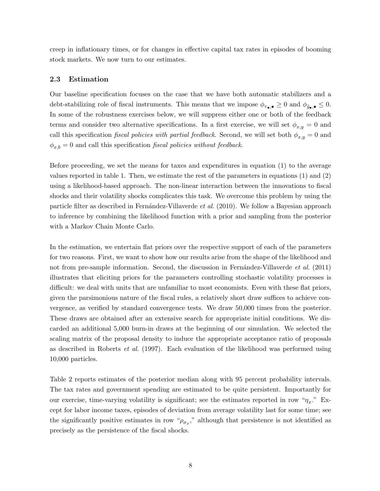creep in inflationary times, or for changes in effective capital tax rates in episodes of booming stock markets. We now turn to our estimates.

## 2.3 Estimation

Our baseline specification focuses on the case that we have both automatic stabilizers and a debt-stabilizing role of fiscal instruments. This means that we impose  $\phi_{\tau_{\bullet,\bullet}} \geq 0$  and  $\phi_{\tilde{q}_{\bullet,\bullet}} \leq 0$ . In some of the robustness exercises below, we will suppress either one or both of the feedback terms and consider two alternative specifications. In a first exercise, we will set  $\phi_{x,y} = 0$  and call this specification *fiscal policies with partial feedback*. Second, we will set both  $\phi_{x,y} = 0$  and  $\phi_{x,b} = 0$  and call this specification *fiscal policies without feedback*.

Before proceeding, we set the means for taxes and expenditures in equation (1) to the average values reported in table 1. Then, we estimate the rest of the parameters in equations  $(1)$  and  $(2)$ using a likelihood-based approach. The non-linear interaction between the innovations to fiscal shocks and their volatility shocks complicates this task. We overcome this problem by using the particle filter as described in Fernández-Villaverde et al.  $(2010)$ . We follow a Bayesian approach to inference by combining the likelihood function with a prior and sampling from the posterior with a Markov Chain Monte Carlo.

In the estimation, we entertain flat priors over the respective support of each of the parameters for two reasons. First, we want to show how our results arise from the shape of the likelihood and not from pre-sample information. Second, the discussion in Fernández-Villaverde et al.  $(2011)$ illustrates that eliciting priors for the parameters controlling stochastic volatility processes is difficult: we deal with units that are unfamiliar to most economists. Even with these flat priors, given the parsimonious nature of the fiscal rules, a relatively short draw suffices to achieve convergence, as verified by standard convergence tests. We draw 50,000 times from the posterior. These draws are obtained after an extensive search for appropriate initial conditions. We discarded an additional 5,000 burn-in draws at the beginning of our simulation. We selected the scaling matrix of the proposal density to induce the appropriate acceptance ratio of proposals as described in Roberts et al. (1997). Each evaluation of the likelihood was performed using 10,000 particles.

Table 2 reports estimates of the posterior median along with 95 percent probability intervals. The tax rates and government spending are estimated to be quite persistent. Importantly for our exercise, time-varying volatility is significant; see the estimates reported in row " $\eta_x$ ." Except for labor income taxes, episodes of deviation from average volatility last for some time; see the significantly positive estimates in row " $\rho_{\sigma_x}$ ," although that persistence is not identified as precisely as the persistence of the fiscal shocks.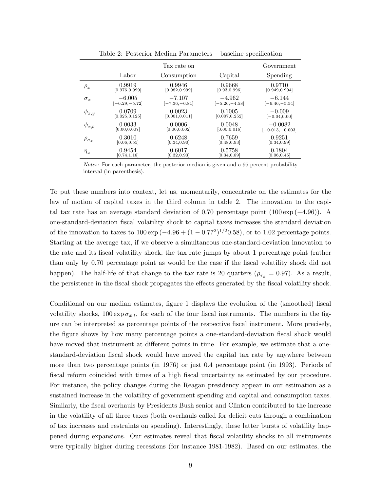|                   |                  | Tax rate on      |                  | Government         |
|-------------------|------------------|------------------|------------------|--------------------|
|                   | Labor            | Consumption      | Capital          | Spending           |
| $\rho_x$          | 0.9919           | 0.9946           | 0.9668           | 0.9710             |
|                   | [0.976, 0.999]   | [0.982, 0.999]   | [0.93, 0.996]    | [0.949, 0.994]     |
| $\sigma_x$        | $-6.005$         | $-7.107$         | $-4.962$         | $-6.144$           |
|                   | $[-6.29, -5.72]$ | $[-7.36, -6.81]$ | $[-5.26, -4.58]$ | $[-6.46, -5.54]$   |
| $\phi_{x,y}$      | 0.0709           | 0.0023           | 0.1005           | $-0.009$           |
|                   | [0.025, 0.125]   | [0.001, 0.011]   | [0.007, 0.252]   | $[-0.04, 0.00]$    |
| $\phi_{x,b}$      | 0.0033           | 0.0006           | 0.0048           | $-0.0082$          |
|                   | [0.00, 0.007]    | [0.00, 0.002]    | [0.00, 0.016]    | $[-0.013, -0.003]$ |
| $\rho_{\sigma_x}$ | 0.3010           | 0.6248           | 0.7659           | 0.9251             |
|                   | [0.06, 0.55]     | [0.34, 0.90]     | [0.48, 0.93]     | [0.34, 0.99]       |
| $\eta_x$          | 0.9454           | 0.6017           | 0.5758           | 0.1804             |
|                   | [0.74, 1.18]     | [0.32, 0.93]     | [0.34, 0.89]     | [0.06, 0.45]       |

Table 2: Posterior Median Parameters – baseline specification

Notes: For each parameter, the posterior median is given and a 95 percent probability interval (in parenthesis).

To put these numbers into context, let us, momentarily, concentrate on the estimates for the law of motion of capital taxes in the third column in table 2. The innovation to the capital tax rate has an average standard deviation of 0.70 percentage point  $(100 \exp(-4.96))$ . A one-standard-deviation fiscal volatility shock to capital taxes increases the standard deviation of the innovation to taxes to  $100 \exp(-4.96 + (1 - 0.77^2)^{1/2} 0.58)$ , or to 1.02 percentage points. Starting at the average tax, if we observe a simultaneous one-standard-deviation innovation to the rate and its fiscal volatility shock, the tax rate jumps by about 1 percentage point (rather than only by 0.70 percentage point as would be the case if the fiscal volatility shock did not happen). The half-life of that change to the tax rate is 20 quarters ( $\rho_{\tau_k} = 0.97$ ). As a result, the persistence in the fiscal shock propagates the effects generated by the fiscal volatility shock.

Conditional on our median estimates, figure 1 displays the evolution of the (smoothed) fiscal volatility shocks,  $100 \exp \sigma_{x,t}$ , for each of the four fiscal instruments. The numbers in the figure can be interpreted as percentage points of the respective fiscal instrument. More precisely, the figure shows by how many percentage points a one-standard-deviation fiscal shock would have moved that instrument at different points in time. For example, we estimate that a onestandard-deviation fiscal shock would have moved the capital tax rate by anywhere between more than two percentage points (in 1976) or just 0.4 percentage point (in 1993). Periods of fiscal reform coincided with times of a high fiscal uncertainty as estimated by our procedure. For instance, the policy changes during the Reagan presidency appear in our estimation as a sustained increase in the volatility of government spending and capital and consumption taxes. Similarly, the fiscal overhauls by Presidents Bush senior and Clinton contributed to the increase in the volatility of all three taxes (both overhauls called for deficit cuts through a combination of tax increases and restraints on spending). Interestingly, these latter bursts of volatility happened during expansions. Our estimates reveal that fiscal volatility shocks to all instruments were typically higher during recessions (for instance 1981-1982). Based on our estimates, the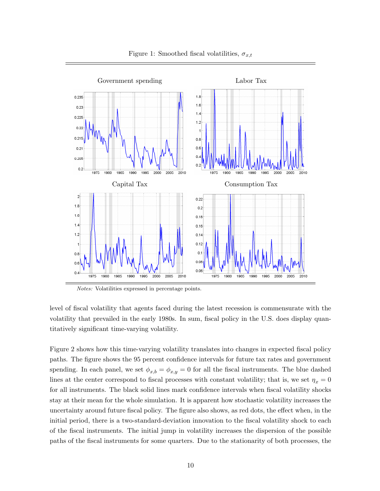

Figure 1: Smoothed fiscal volatilities,  $\sigma_{x,t}$ 

Notes: Volatilities expressed in percentage points.

level of fiscal volatility that agents faced during the latest recession is commensurate with the volatility that prevailed in the early 1980s. In sum, fiscal policy in the U.S. does display quantitatively significant time-varying volatility.

Figure 2 shows how this time-varying volatility translates into changes in expected fiscal policy paths. The figure shows the 95 percent confidence intervals for future tax rates and government spending. In each panel, we set  $\phi_{x,b} = \phi_{x,y} = 0$  for all the fiscal instruments. The blue dashed lines at the center correspond to fiscal processes with constant volatility; that is, we set  $\eta_x = 0$ for all instruments. The black solid lines mark confidence intervals when fiscal volatility shocks stay at their mean for the whole simulation. It is apparent how stochastic volatility increases the uncertainty around future fiscal policy. The figure also shows, as red dots, the effect when, in the initial period, there is a two-standard-deviation innovation to the fiscal volatility shock to each of the fiscal instruments. The initial jump in volatility increases the dispersion of the possible paths of the fiscal instruments for some quarters. Due to the stationarity of both processes, the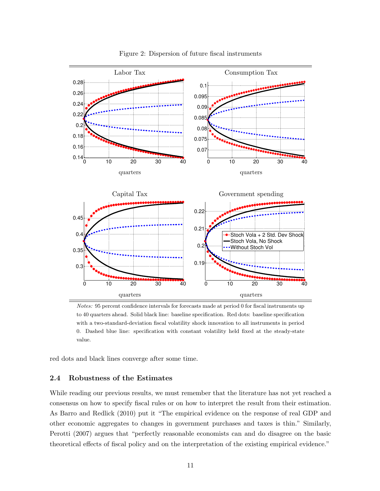

Figure 2: Dispersion of future fiscal instruments

Notes: 95 percent confidence intervals for forecasts made at period 0 for fiscal instruments up to 40 quarters ahead. Solid black line: baseline specification. Red dots: baseline specification with a two-standard-deviation fiscal volatility shock innovation to all instruments in period 0. Dashed blue line: specification with constant volatility held fixed at the steady-state value.

red dots and black lines converge after some time.

## 2.4 Robustness of the Estimates

While reading our previous results, we must remember that the literature has not yet reached a consensus on how to specify fiscal rules or on how to interpret the result from their estimation. As Barro and Redlick (2010) put it "The empirical evidence on the response of real GDP and other economic aggregates to changes in government purchases and taxes is thin." Similarly, Perotti (2007) argues that "perfectly reasonable economists can and do disagree on the basic theoretical effects of fiscal policy and on the interpretation of the existing empirical evidence."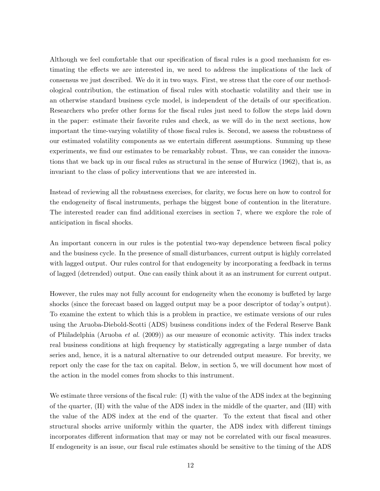Although we feel comfortable that our specification of fiscal rules is a good mechanism for estimating the effects we are interested in, we need to address the implications of the lack of consensus we just described. We do it in two ways. First, we stress that the core of our methodological contribution, the estimation of fiscal rules with stochastic volatility and their use in an otherwise standard business cycle model, is independent of the details of our specification. Researchers who prefer other forms for the fiscal rules just need to follow the steps laid down in the paper: estimate their favorite rules and check, as we will do in the next sections, how important the time-varying volatility of those fiscal rules is. Second, we assess the robustness of our estimated volatility components as we entertain different assumptions. Summing up these experiments, we find our estimates to be remarkably robust. Thus, we can consider the innovations that we back up in our fiscal rules as structural in the sense of Hurwicz (1962), that is, as invariant to the class of policy interventions that we are interested in.

Instead of reviewing all the robustness exercises, for clarity, we focus here on how to control for the endogeneity of fiscal instruments, perhaps the biggest bone of contention in the literature. The interested reader can find additional exercises in section 7, where we explore the role of anticipation in fiscal shocks.

An important concern in our rules is the potential two-way dependence between fiscal policy and the business cycle. In the presence of small disturbances, current output is highly correlated with lagged output. Our rules control for that endogeneity by incorporating a feedback in terms of lagged (detrended) output. One can easily think about it as an instrument for current output.

However, the rules may not fully account for endogeneity when the economy is buffeted by large shocks (since the forecast based on lagged output may be a poor descriptor of today's output). To examine the extent to which this is a problem in practice, we estimate versions of our rules using the Aruoba-Diebold-Scotti (ADS) business conditions index of the Federal Reserve Bank of Philadelphia (Aruoba et al. (2009)) as our measure of economic activity. This index tracks real business conditions at high frequency by statistically aggregating a large number of data series and, hence, it is a natural alternative to our detrended output measure. For brevity, we report only the case for the tax on capital. Below, in section 5, we will document how most of the action in the model comes from shocks to this instrument.

We estimate three versions of the fiscal rule: (I) with the value of the ADS index at the beginning of the quarter, (II) with the value of the ADS index in the middle of the quarter, and (III) with the value of the ADS index at the end of the quarter. To the extent that fiscal and other structural shocks arrive uniformly within the quarter, the ADS index with different timings incorporates different information that may or may not be correlated with our fiscal measures. If endogeneity is an issue, our fiscal rule estimates should be sensitive to the timing of the ADS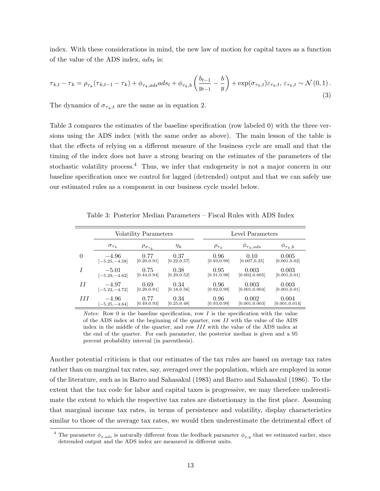index. With these considerations in mind, the new law of motion for capital taxes as a function of the value of the ADS index,  $ads_t$  is:

$$
\tau_{k,t} - \tau_k = \rho_{\tau_k}(\tau_{k,t-1} - \tau_k) + \phi_{\tau_k,ads}ads_t + \phi_{\tau_k,b}\left(\frac{b_{t-1}}{y_{t-1}} - \frac{b}{y}\right) + \exp(\sigma_{\tau_k,t})\varepsilon_{\tau_k,t}, \ \varepsilon_{\tau_k,t} \sim \mathcal{N}\left(0,1\right). \tag{3}
$$

The dynamics of  $\sigma_{\tau_k,t}$  are the same as in equation 2.

Table 3 compares the estimates of the baseline specification (row labeled 0) with the three versions using the ADS index (with the same order as above). The main lesson of the table is that the effects of relying on a different measure of the business cycle are small and that the timing of the index does not have a strong bearing on the estimates of the parameters of the stochastic volatility process.<sup>4</sup> Thus, we infer that endogeneity is not a major concern in our baseline specification once we control for lagged (detrended) output and that we can safely use our estimated rules as a component in our business cycle model below.

Table 3: Posterior Median Parameters – Fiscal Rules with ADS Index

|          | Volatility Parameters |                          |              |                 | Level Parameters    |                   |  |  |
|----------|-----------------------|--------------------------|--------------|-----------------|---------------------|-------------------|--|--|
|          | $\sigma_{\tau_k}$     | $\rho_{\sigma_{\tau_k}}$ | $\eta_k$     | $\rho_{\tau_k}$ | $\phi_{\tau_k,ads}$ | $\phi_{\tau_k,b}$ |  |  |
| $\theta$ | $-4.96$               | 0.77                     | 0.37         | 0.96            | 0.10                | 0.005             |  |  |
|          | $[-5.25, -4.58]$      | [0.20, 0.91]             | [0.22, 0.57] | [0.93, 0.99]    | [0.007, 0.25]       | [0.001, 0.02]     |  |  |
|          | $-5.01$               | 0.75                     | 0.38         | 0.95            | 0.003               | 0.003             |  |  |
|          | $[-5.29,-4.62]$       | [0.44, 0.94]             | [0.29, 0.52] | [0.91, 0.98]    | [0.002, 0.005]      | [0.001, 0.01]     |  |  |
| II       | $-4.97$               | 0.69                     | 0.34         | 0.96            | 0.003               | 0.003             |  |  |
|          | $[-5.22, -4.72]$      | [0.20, 0.91]             | [0.18, 0.56] | [0.92, 0.99]    | [0.001, 0.004]      | [0.001, 0.01]     |  |  |
| HН       | $-4.96$               | 0.77                     | 0.34         | 0.96            | 0.002               | 0.004             |  |  |
|          | $[-5.25, -4.64]$      | [0.49, 0.93]             | [0.25, 0.48] | [0.93, 0.99]    | [0.001, 0.003]      | [0.001, 0.014]    |  |  |

*Notes:* Row 0 is the baseline specification, row  $I$  is the specification with the value of the ADS index at the beginning of the quarter, row II with the value of the ADS index in the middle of the quarter, and row III with the value of the ADS index at the end of the quarter. For each parameter, the posterior median is given and a 95 percent probability interval (in parenthesis).

Another potential criticism is that our estimates of the tax rules are based on average tax rates rather than on marginal tax rates, say, averaged over the population, which are employed in some of the literature, such as in Barro and Sahasakul (1983) and Barro and Sahasakul (1986). To the extent that the tax code for labor and capital taxes is progressive, we may therefore underestimate the extent to which the respective tax rates are distortionary in the first place. Assuming that marginal income tax rates, in terms of persistence and volatility, display characteristics similar to those of the average tax rates, we would then underestimate the detrimental effect of

<sup>&</sup>lt;sup>4</sup> The parameter  $\phi_{x,ads}$  is naturally different from the feedback parameter  $\phi_{x,y}$  that we estimated earlier, since detrended output and the ADS index are measured in different units.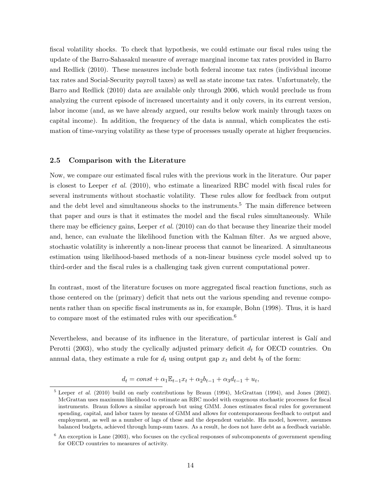fiscal volatility shocks. To check that hypothesis, we could estimate our fiscal rules using the update of the Barro-Sahasakul measure of average marginal income tax rates provided in Barro and Redlick (2010). These measures include both federal income tax rates (individual income tax rates and Social-Security payroll taxes) as well as state income tax rates. Unfortunately, the Barro and Redlick (2010) data are available only through 2006, which would preclude us from analyzing the current episode of increased uncertainty and it only covers, in its current version, labor income (and, as we have already argued, our results below work mainly through taxes on capital income). In addition, the frequency of the data is annual, which complicates the estimation of time-varying volatility as these type of processes usually operate at higher frequencies.

#### 2.5 Comparison with the Literature

Now, we compare our estimated fiscal rules with the previous work in the literature. Our paper is closest to Leeper et al. (2010), who estimate a linearized RBC model with fiscal rules for several instruments without stochastic volatility. These rules allow for feedback from output and the debt level and simultaneous shocks to the instruments.<sup>5</sup> The main difference between that paper and ours is that it estimates the model and the fiscal rules simultaneously. While there may be efficiency gains, Leeper *et al.* (2010) can do that because they linearize their model and, hence, can evaluate the likelihood function with the Kalman filter. As we argued above, stochastic volatility is inherently a non-linear process that cannot be linearized. A simultaneous estimation using likelihood-based methods of a non-linear business cycle model solved up to third-order and the fiscal rules is a challenging task given current computational power.

In contrast, most of the literature focuses on more aggregated fiscal reaction functions, such as those centered on the (primary) deficit that nets out the various spending and revenue components rather than on specific fiscal instruments as in, for example, Bohn (1998). Thus, it is hard to compare most of the estimated rules with our specification.<sup>6</sup>

Nevertheless, and because of its influence in the literature, of particular interest is Galí and Perotti (2003), who study the cyclically adjusted primary deficit  $d_t$  for OECD countries. On annual data, they estimate a rule for  $d_t$  using output gap  $x_t$  and debt  $b_t$  of the form:

$$
d_t = const + \alpha_1 \mathbb{E}_{t-1} x_t + \alpha_2 b_{t-1} + \alpha_3 d_{t-1} + u_t,
$$

 $5$  Leeper *et al.* (2010) build on early contributions by Braun (1994), McGrattan (1994), and Jones (2002). McGrattan uses maximum likelihood to estimate an RBC model with exogenous stochastic processes for fiscal instruments. Braun follows a similar approach but using GMM. Jones estimates fiscal rules for government spending, capital, and labor taxes by means of GMM and allows for contemporaneous feedback to output and employment, as well as a number of lags of these and the dependent variable. His model, however, assumes balanced budgets, achieved through lump-sum taxes. As a result, he does not have debt as a feedback variable.

 $6$  An exception is Lane (2003), who focuses on the cyclical responses of subcomponents of government spending for OECD countries to measures of activity.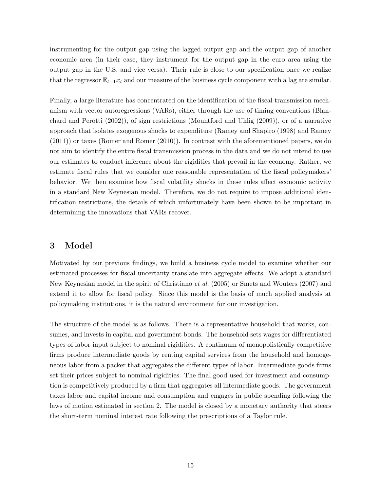instrumenting for the output gap using the lagged output gap and the output gap of another economic area (in their case, they instrument for the output gap in the euro area using the output gap in the U.S. and vice versa). Their rule is close to our specification once we realize that the regressor  $\mathbb{E}_{t-1}x_t$  and our measure of the business cycle component with a lag are similar.

Finally, a large literature has concentrated on the identification of the fiscal transmission mechanism with vector autoregressions (VARs), either through the use of timing conventions (Blanchard and Perotti (2002)), of sign restrictions (Mountford and Uhlig (2009)), or of a narrative approach that isolates exogenous shocks to expenditure (Ramey and Shapiro (1998) and Ramey (2011)) or taxes (Romer and Romer (2010)). In contrast with the aforementioned papers, we do not aim to identify the entire fiscal transmission process in the data and we do not intend to use our estimates to conduct inference about the rigidities that prevail in the economy. Rather, we estimate fiscal rules that we consider one reasonable representation of the fiscal policymakers' behavior. We then examine how fiscal volatility shocks in these rules affect economic activity in a standard New Keynesian model. Therefore, we do not require to impose additional identification restrictions, the details of which unfortunately have been shown to be important in determining the innovations that VARs recover.

## 3 Model

Motivated by our previous findings, we build a business cycle model to examine whether our estimated processes for fiscal uncertanty translate into aggregate effects. We adopt a standard New Keynesian model in the spirit of Christiano et al. (2005) or Smets and Wouters (2007) and extend it to allow for fiscal policy. Since this model is the basis of much applied analysis at policymaking institutions, it is the natural environment for our investigation.

The structure of the model is as follows. There is a representative household that works, consumes, and invests in capital and government bonds. The household sets wages for differentiated types of labor input subject to nominal rigidities. A continuum of monopolistically competitive firms produce intermediate goods by renting capital services from the household and homogeneous labor from a packer that aggregates the different types of labor. Intermediate goods firms set their prices subject to nominal rigidities. The final good used for investment and consumption is competitively produced by a firm that aggregates all intermediate goods. The government taxes labor and capital income and consumption and engages in public spending following the laws of motion estimated in section 2. The model is closed by a monetary authority that steers the short-term nominal interest rate following the prescriptions of a Taylor rule.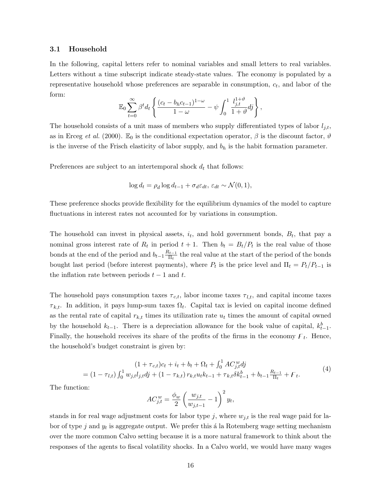## 3.1 Household

In the following, capital letters refer to nominal variables and small letters to real variables. Letters without a time subscript indicate steady-state values. The economy is populated by a representative household whose preferences are separable in consumption,  $c_t$ , and labor of the form:

$$
\mathbb{E}_0 \sum_{t=0}^{\infty} \beta^t d_t \left\{ \frac{(c_t - b_h c_{t-1})^{1-\omega}}{1-\omega} - \psi \int_0^1 \frac{l_{j,t}^{1+\vartheta}}{1+\vartheta} d\mathrm{j} \right\},\,
$$

The household consists of a unit mass of members who supply differentiated types of labor  $l_{i,t}$ , as in Erceg *et al.* (2000). E<sub>0</sub> is the conditional expectation operator,  $\beta$  is the discount factor,  $\vartheta$ is the inverse of the Frisch elasticity of labor supply, and  $b<sub>h</sub>$  is the habit formation parameter.

Preferences are subject to an intertemporal shock  $d_t$  that follows:

$$
\log d_t = \rho_d \log d_{t-1} + \sigma_d \varepsilon_{dt}, \, \varepsilon_{dt} \sim \mathcal{N}(0, 1),
$$

These preference shocks provide flexibility for the equilibrium dynamics of the model to capture fluctuations in interest rates not accounted for by variations in consumption.

The household can invest in physical assets,  $i_t$ , and hold government bonds,  $B_t$ , that pay a nominal gross interest rate of  $R_t$  in period  $t + 1$ . Then  $b_t = B_t/P_t$  is the real value of those bonds at the end of the period and  $b_{t-1} \frac{R_{t-1}}{\prod_t}$  $\frac{t_{t-1}}{\Pi_t}$  the real value at the start of the period of the bonds bought last period (before interest payments), where  $P_t$  is the price level and  $\Pi_t = P_t/P_{t-1}$  is the inflation rate between periods  $t - 1$  and t.

The household pays consumption taxes  $\tau_{c,t}$ , labor income taxes  $\tau_{l,t}$ , and capital income taxes  $\tau_{k,t}$ . In addition, it pays lump-sum taxes  $\Omega_t$ . Capital tax is levied on capital income defined as the rental rate of capital  $r_{k,t}$  times its utilization rate  $u_t$  times the amount of capital owned by the household  $k_{t-1}$ . There is a depreciation allowance for the book value of capital,  $k_{t-1}^b$ . Finally, the household receives its share of the profits of the firms in the economy  $F_t$ . Hence, the household's budget constraint is given by:

$$
(1 + \tau_{c,t})c_t + i_t + b_t + \Omega_t + \int_0^1 AC_{j,t}^w dj
$$
  
=  $(1 - \tau_{l,t}) \int_0^1 w_{j,t} l_{j,t} dj + (1 - \tau_{k,t}) r_{k,t} u_t k_{t-1} + \tau_{k,t} \delta k_{t-1}^b + b_{t-1} \frac{R_{t-1}}{\Pi_t} + \mathcal{F}_t.$  (4)

The function:

$$
AC_{j,t}^{w} = \frac{\phi_w}{2} \left( \frac{w_{j,t}}{w_{j,t-1}} - 1 \right)^2 y_t,
$$

stands in for real wage adjustment costs for labor type j, where  $w_{j,t}$  is the real wage paid for labor of type  $j$  and  $y_t$  is aggregate output. We prefer this a la Rotemberg wage setting mechanism over the more common Calvo setting because it is a more natural framework to think about the responses of the agents to fiscal volatility shocks. In a Calvo world, we would have many wages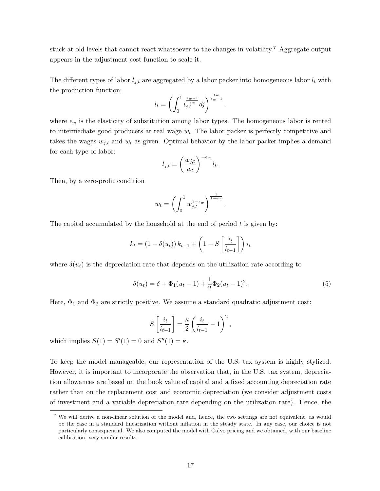stuck at old levels that cannot react whatsoever to the changes in volatility.<sup>7</sup> Aggregate output appears in the adjustment cost function to scale it.

The different types of labor  $l_{j,t}$  are aggregated by a labor packer into homogeneous labor  $l_t$  with the production function:

$$
l_t = \left(\int_0^1 l_{j,t}^{\frac{\epsilon_w -1}{\epsilon_w}} df\right)^{\frac{\epsilon_w}{\epsilon_w -1}}.
$$

where  $\epsilon_w$  is the elasticity of substitution among labor types. The homogeneous labor is rented to intermediate good producers at real wage  $w_t$ . The labor packer is perfectly competitive and takes the wages  $w_{j,t}$  and  $w_t$  as given. Optimal behavior by the labor packer implies a demand for each type of labor:

$$
l_{j,t} = \left(\frac{w_{j,t}}{w_t}\right)^{-\epsilon_w} l_t.
$$

Then, by a zero-profit condition

$$
w_t = \left(\int_0^1 w_{j,t}^{1-\epsilon_w}\right)^{\frac{1}{1-\epsilon_w}}.
$$

The capital accumulated by the household at the end of period  $t$  is given by:

$$
k_t = (1 - \delta(u_t)) k_{t-1} + \left(1 - S\left[\frac{i_t}{i_{t-1}}\right]\right) i_t
$$

where  $\delta(u_t)$  is the depreciation rate that depends on the utilization rate according to

$$
\delta(u_t) = \delta + \Phi_1(u_t - 1) + \frac{1}{2}\Phi_2(u_t - 1)^2.
$$
\n(5)

Here,  $\Phi_1$  and  $\Phi_2$  are strictly positive. We assume a standard quadratic adjustment cost:

$$
S\left[\frac{i_t}{i_{t-1}}\right] = \frac{\kappa}{2} \left(\frac{i_t}{i_{t-1}} - 1\right)^2,
$$

which implies  $S(1) = S'(1) = 0$  and  $S''(1) = \kappa$ .

To keep the model manageable, our representation of the U.S. tax system is highly stylized. However, it is important to incorporate the observation that, in the U.S. tax system, depreciation allowances are based on the book value of capital and a fixed accounting depreciation rate rather than on the replacement cost and economic depreciation (we consider adjustment costs of investment and a variable depreciation rate depending on the utilization rate). Hence, the

<sup>7</sup> We will derive a non-linear solution of the model and, hence, the two settings are not equivalent, as would be the case in a standard linearization without inflation in the steady state. In any case, our choice is not particularly consequential. We also computed the model with Calvo pricing and we obtained, with our baseline calibration, very similar results.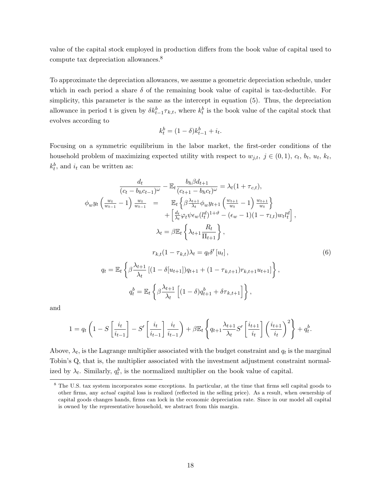value of the capital stock employed in production differs from the book value of capital used to compute tax depreciation allowances.<sup>8</sup>

To approximate the depreciation allowances, we assume a geometric depreciation schedule, under which in each period a share  $\delta$  of the remaining book value of capital is tax-deductible. For simplicity, this parameter is the same as the intercept in equation (5). Thus, the depreciation allowance in period t is given by  $\delta k_{t-1}^b \tau_{k,t}$ , where  $k_t^b$  is the book value of the capital stock that evolves according to

$$
k_t^b = (1 - \delta)k_{t-1}^b + i_t.
$$

Focusing on a symmetric equilibrium in the labor market, the first-order conditions of the household problem of maximizing expected utility with respect to  $w_{j,t}, j \in (0,1), c_t, b_t, u_t, k_t$ ,  $k_t^b$ , and  $i_t$  can be written as:

$$
\frac{d_t}{(c_t - b_h c_{t-1})^{\omega}} - \mathbb{E}_t \frac{b_h \beta d_{t+1}}{(c_{t+1} - b_h c_t)^{\omega}} = \lambda_t (1 + \tau_{c,t}),
$$
  

$$
\phi_w y_t \left(\frac{w_t}{w_{t-1}} - 1\right) \frac{w_t}{w_{t-1}} = \mathbb{E}_t \left\{\beta \frac{\lambda_{t+1}}{\lambda_t} \phi_w y_{t+1} \left(\frac{w_{t+1}}{w_t} - 1\right) \frac{w_{t+1}}{w_t}\right\}
$$

$$
+ \left[\frac{d_t}{\lambda_t} \varphi_t \psi \epsilon_w (l_t^d)^{1+\vartheta} - (\epsilon_w - 1)(1 - \tau_{l,t}) w_t l_t^d\right],
$$

$$
\lambda_t = \beta \mathbb{E}_t \left\{\lambda_{t+1} \frac{R_t}{\Pi_{t+1}}\right\},
$$

$$
r_{k,t} (1 - \tau_{k,t}) \lambda_t = q_t \delta' [u_t],
$$

$$
q_t = \mathbb{E}_t \left\{\beta \frac{\lambda_{t+1}}{\lambda_t} \left[ (1 - \delta[u_{t+1}]) q_{t+1} + (1 - \tau_{k,t+1}) r_{k,t+1} u_{t+1} \right] \right\},
$$

$$
q_t^b = \mathbb{E}_t \left\{\beta \frac{\lambda_{t+1}}{\lambda_t} \left[ (1 - \delta) q_{t+1}^b + \delta \tau_{k,t+1} \right] \right\},
$$
(6)

and

$$
1 = q_t \left( 1 - S \left[ \frac{i_t}{i_{t-1}} \right] - S' \left[ \frac{i_t}{i_{t-1}} \right] \frac{i_t}{i_{t-1}} \right) + \beta \mathbb{E}_t \left\{ q_{t+1} \frac{\lambda_{t+1}}{\lambda_t} S' \left[ \frac{i_{t+1}}{i_t} \right] \left( \frac{i_{t+1}}{i_t} \right)^2 \right\} + q_t^b.
$$

Above,  $\lambda_t$ , is the Lagrange multiplier associated with the budget constraint and  $q_t$  is the marginal Tobin's Q, that is, the multiplier associated with the investment adjustment constraint normalized by  $\lambda_t$ . Similarly,  $q_t^b$ , is the normalized multiplier on the book value of capital.

<sup>8</sup> The U.S. tax system incorporates some exceptions. In particular, at the time that firms sell capital goods to other firms, any actual capital loss is realized (reflected in the selling price). As a result, when ownership of capital goods changes hands, firms can lock in the economic depreciation rate. Since in our model all capital is owned by the representative household, we abstract from this margin.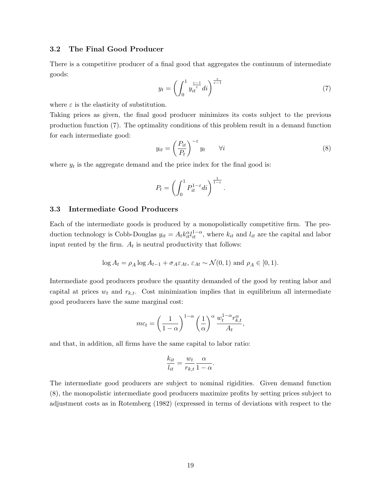## 3.2 The Final Good Producer

There is a competitive producer of a final good that aggregates the continuum of intermediate goods:

$$
y_t = \left(\int_0^1 y_{it}^{\frac{\varepsilon - 1}{\varepsilon}} dt\right)^{\frac{\varepsilon}{\varepsilon - 1}}\tag{7}
$$

where  $\varepsilon$  is the elasticity of substitution.

Taking prices as given, the final good producer minimizes its costs subject to the previous production function (7). The optimality conditions of this problem result in a demand function for each intermediate good:

$$
y_{it} = \left(\frac{P_{it}}{P_t}\right)^{-\varepsilon} y_t \qquad \forall i \tag{8}
$$

where  $y_t$  is the aggregate demand and the price index for the final good is:

$$
P_t = \left(\int_0^1 P_{it}^{1-\varepsilon} di\right)^{\frac{1}{1-\varepsilon}}.
$$

## 3.3 Intermediate Good Producers

Each of the intermediate goods is produced by a monopolistically competitive firm. The production technology is Cobb-Douglas  $y_{it} = A_t k_{it}^{\alpha} l_{it}^{1-\alpha}$ , where  $k_{it}$  and  $l_{it}$  are the capital and labor input rented by the firm.  $A_t$  is neutral productivity that follows:

$$
\log A_t = \rho_A \log A_{t-1} + \sigma_A \varepsilon_{At}, \varepsilon_{At} \sim \mathcal{N}(0, 1) \text{ and } \rho_A \in [0, 1).
$$

Intermediate good producers produce the quantity demanded of the good by renting labor and capital at prices  $w_t$  and  $r_{k,t}$ . Cost minimization implies that in equilibrium all intermediate good producers have the same marginal cost:

$$
mc_t = \left(\frac{1}{1-\alpha}\right)^{1-\alpha} \left(\frac{1}{\alpha}\right)^{\alpha} \frac{w_t^{1-\alpha} r_{k,t}^{\alpha}}{A_t},
$$

and that, in addition, all firms have the same capital to labor ratio:

$$
\frac{k_{it}}{l_{it}} = \frac{w_t}{r_{k,t}} \frac{\alpha}{1 - \alpha}.
$$

The intermediate good producers are subject to nominal rigidities. Given demand function (8), the monopolistic intermediate good producers maximize profits by setting prices subject to adjustment costs as in Rotemberg (1982) (expressed in terms of deviations with respect to the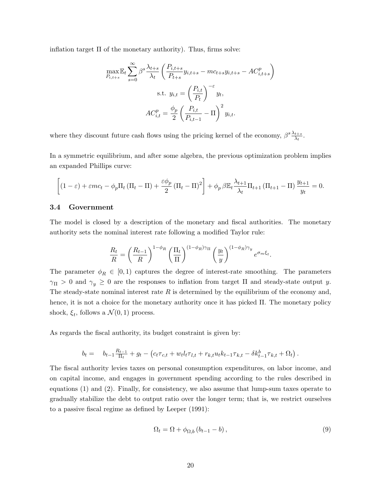inflation target  $\Pi$  of the monetary authority). Thus, firms solve:

$$
\max_{P_{i,t+s}} \mathbb{E}_t \sum_{s=0}^{\infty} \beta^s \frac{\lambda_{t+s}}{\lambda_t} \left( \frac{P_{i,t+s}}{P_{t+s}} y_{i,t+s} - mc_{t+s} y_{i,t+s} - AC_{i,t+s}^p \right)
$$
  
s.t.  $y_{i,t} = \left( \frac{P_{i,t}}{P_t} \right)^{-\varepsilon} y_t$ ,  

$$
AC_{i,t}^p = \frac{\phi_p}{2} \left( \frac{P_{i,t}}{P_{i,t-1}} - \Pi \right)^2 y_{i,t}.
$$

where they discount future cash flows using the pricing kernel of the economy,  $\beta^s \frac{\lambda_{t+s}}{\lambda_s}$  $\frac{t+s}{\lambda_t}$  .

In a symmetric equilibrium, and after some algebra, the previous optimization problem implies an expanded Phillips curve:

$$
\left[ (1 - \varepsilon) + \varepsilon mc_t - \phi_p \Pi_t (\Pi_t - \Pi) + \frac{\varepsilon \phi_p}{2} (\Pi_t - \Pi)^2 \right] + \phi_p \beta \mathbb{E}_t \frac{\lambda_{t+1}}{\lambda_t} \Pi_{t+1} (\Pi_{t+1} - \Pi) \frac{y_{t+1}}{y_t} = 0.
$$

#### 3.4 Government

The model is closed by a description of the monetary and fiscal authorities. The monetary authority sets the nominal interest rate following a modified Taylor rule:

$$
\frac{R_t}{R} = \left(\frac{R_{t-1}}{R}\right)^{1-\phi_R} \left(\frac{\Pi_t}{\Pi}\right)^{(1-\phi_R)\gamma_{\Pi}} \left(\frac{y_t}{y}\right)^{(1-\phi_R)\gamma_y} e^{\sigma_m \xi_t}.
$$

The parameter  $\phi_R \in [0,1)$  captures the degree of interest-rate smoothing. The parameters  $\gamma_{\Pi} > 0$  and  $\gamma_y \geq 0$  are the responses to inflation from target  $\Pi$  and steady-state output y. The steady-state nominal interest rate  $R$  is determined by the equilibrium of the economy and, hence, it is not a choice for the monetary authority once it has picked Π. The monetary policy shock,  $\xi_t$ , follows a  $\mathcal{N}(0,1)$  process.

As regards the fiscal authority, its budget constraint is given by:

$$
b_t = b_{t-1} \frac{R_{t-1}}{\Pi_t} + g_t - (c_t \tau_{c,t} + w_t l_t \tau_{l,t} + r_{k,t} u_t k_{t-1} \tau_{k,t} - \delta k_{t-1}^b \tau_{k,t} + \Omega_t).
$$

The fiscal authority levies taxes on personal consumption expenditures, on labor income, and on capital income, and engages in government spending according to the rules described in equations (1) and (2). Finally, for consistency, we also assume that lump-sum taxes operate to gradually stabilize the debt to output ratio over the longer term; that is, we restrict ourselves to a passive fiscal regime as defined by Leeper (1991):

$$
\Omega_t = \Omega + \phi_{\Omega,b} \left( b_{t-1} - b \right),\tag{9}
$$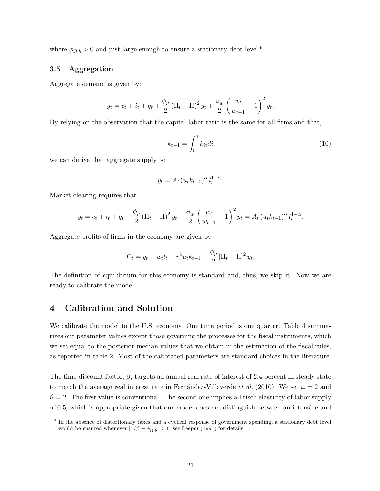where  $\phi_{\Omega,b} > 0$  and just large enough to ensure a stationary debt level.<sup>9</sup>

## 3.5 Aggregation

Aggregate demand is given by:

$$
y_t = c_t + i_t + g_t + \frac{\phi_p}{2} (\Pi_t - \Pi)^2 y_t + \frac{\phi_w}{2} \left( \frac{w_t}{w_{t-1}} - 1 \right)^2 y_t.
$$

By relying on the observation that the capital-labor ratio is the same for all firms and that,

$$
k_{t-1} = \int_0^1 k_{it} di \tag{10}
$$

we can derive that aggregate supply is:

$$
y_t = A_t (u_t k_{t-1})^{\alpha} l_t^{1-\alpha}.
$$

Market clearing requires that

$$
y_t = c_t + i_t + g_t + \frac{\phi_p}{2} (\Pi_t - \Pi)^2 y_t + \frac{\phi_w}{2} \left( \frac{w_t}{w_{t-1}} - 1 \right)^2 y_t = A_t (u_t k_{t-1})^{\alpha} l_t^{1-\alpha}.
$$

Aggregate profits of firms in the economy are given by

$$
F_t = y_t - w_t l_t - r_t^k u_t k_{t-1} - \frac{\phi_p}{2} [\Pi_t - \Pi]^2 y_t.
$$

The definition of equilibrium for this economy is standard and, thus, we skip it. Now we are ready to calibrate the model.

# 4 Calibration and Solution

We calibrate the model to the U.S. economy. One time period is one quarter. Table 4 summarizes our parameter values except those governing the processes for the fiscal instruments, which we set equal to the posterior median values that we obtain in the estimation of the fiscal rules, as reported in table 2. Most of the calibrated parameters are standard choices in the literature.

The time discount factor,  $\beta$ , targets an annual real rate of interest of 2.4 percent in steady state to match the average real interest rate in Fernández-Villaverde *et al.* (2010). We set  $\omega = 2$  and  $\vartheta = 2$ . The first value is conventional. The second one implies a Frisch elasticity of labor supply of 0.5, which is appropriate given that our model does not distinguish between an intensive and

<sup>&</sup>lt;sup>9</sup> In the absence of distortionary taxes and a cyclical response of government spending, a stationary debt level would be ensured whenever  $|1/\beta - \phi_{\Omega,b}| < 1$ ; see Leeper (1991) for details.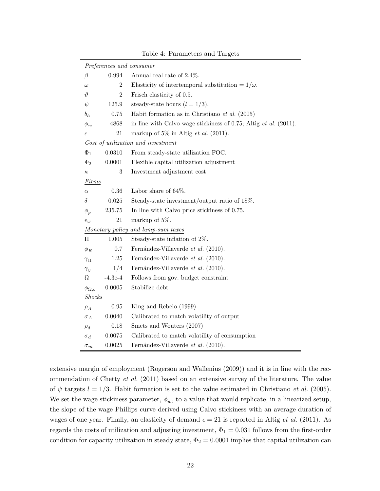| Preferences and consumer |                  |                                                                      |  |  |  |  |
|--------------------------|------------------|----------------------------------------------------------------------|--|--|--|--|
| $\beta$                  | 0.994            | Annual real rate of 2.4%.                                            |  |  |  |  |
| $\omega$                 | 2                | Elasticity of intertemporal substitution = $1/\omega$ .              |  |  |  |  |
| vθ                       | $\overline{2}$   | Frisch elasticity of 0.5.                                            |  |  |  |  |
| $\psi$                   | 125.9            | steady-state hours $(l = 1/3)$ .                                     |  |  |  |  |
| $b_h$                    | 0.75             | Habit formation as in Christiano $et \ al. (2005)$                   |  |  |  |  |
| $\phi_w$                 | 4868             | in line with Calvo wage stickiness of 0.75; Altig $et \ al.$ (2011). |  |  |  |  |
| $\epsilon$               | 21               | markup of 5% in Altig <i>et al.</i> (2011).                          |  |  |  |  |
|                          |                  | Cost of utilization and investment                                   |  |  |  |  |
| $\Phi_1$                 | 0.0310           | From steady-state utilization FOC.                                   |  |  |  |  |
| $\Phi_2$                 | 0.0001           | Flexible capital utilization adjustment                              |  |  |  |  |
| $\kappa$                 | $\boldsymbol{3}$ | Investment adjustment cost                                           |  |  |  |  |
| <u>Firms</u>             |                  |                                                                      |  |  |  |  |
| $\alpha$                 | 0.36             | Labor share of $64\%$ .                                              |  |  |  |  |
| $\delta$                 | 0.025            | Steady-state investment/output ratio of 18%.                         |  |  |  |  |
| $\phi_p$                 | 235.75           | In line with Calvo price stickiness of 0.75.                         |  |  |  |  |
| $\epsilon_w$             | 21               | markup of $5\%$ .                                                    |  |  |  |  |
|                          |                  | Monetary policy and lump-sum taxes                                   |  |  |  |  |
| Π                        | 1.005            | Steady-state inflation of 2%.                                        |  |  |  |  |
| $\phi_R$                 | 0.7              | Fernández-Villaverde et al. (2010).                                  |  |  |  |  |
| $\gamma_{\Pi}$           | 1.25             | Fernández-Villaverde et al. (2010).                                  |  |  |  |  |
| $\gamma_y$               | 1/4              | Fernández-Villaverde et al. (2010).                                  |  |  |  |  |
| Ω                        | $-4.3e-4$        | Follows from gov. budget constraint                                  |  |  |  |  |
| $\phi_{\Omega,b}$        | 0.0005           | Stabilize debt                                                       |  |  |  |  |
| <b>Shocks</b>            |                  |                                                                      |  |  |  |  |
| $\rho_A$                 | $0.95\,$         | King and Rebelo (1999)                                               |  |  |  |  |
| $\sigma_A$               | 0.0040           | Calibrated to match volatility of output                             |  |  |  |  |
| $\rho_d$                 | 0.18             | Smets and Wouters (2007)                                             |  |  |  |  |
| $\sigma_d$               | 0.0075           | Calibrated to match volatility of consumption                        |  |  |  |  |
| $\sigma_m$               | 0.0025           | Fernández-Villaverde et al. (2010).                                  |  |  |  |  |

Table 4: Parameters and Targets

extensive margin of employment (Rogerson and Wallenius (2009)) and it is in line with the recommendation of Chetty et al. (2011) based on an extensive survey of the literature. The value of  $\psi$  targets  $l = 1/3$ . Habit formation is set to the value estimated in Christiano *et al.* (2005). We set the wage stickiness parameter,  $\phi_w$ , to a value that would replicate, in a linearized setup, the slope of the wage Phillips curve derived using Calvo stickiness with an average duration of wages of one year. Finally, an elasticity of demand  $\epsilon = 21$  is reported in Altig *et al.* (2011). As regards the costs of utilization and adjusting investment,  $\Phi_1 = 0.031$  follows from the first-order condition for capacity utilization in steady state,  $\Phi_2 = 0.0001$  implies that capital utilization can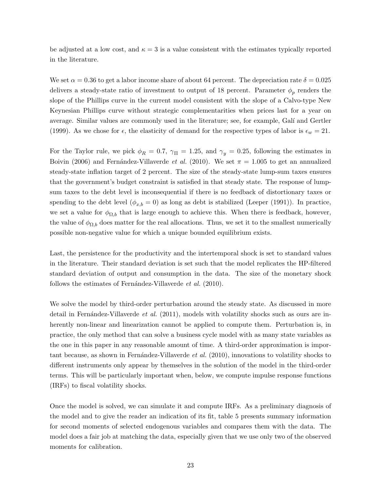be adjusted at a low cost, and  $\kappa = 3$  is a value consistent with the estimates typically reported in the literature.

We set  $\alpha = 0.36$  to get a labor income share of about 64 percent. The depreciation rate  $\delta = 0.025$ delivers a steady-state ratio of investment to output of 18 percent. Parameter  $\phi_p$  renders the slope of the Phillips curve in the current model consistent with the slope of a Calvo-type New Keynesian Phillips curve without strategic complementarities when prices last for a year on average. Similar values are commonly used in the literature; see, for example, Galí and Gertler (1999). As we chose for  $\epsilon$ , the elasticity of demand for the respective types of labor is  $\epsilon_w = 21$ .

For the Taylor rule, we pick  $\phi_R = 0.7$ ,  $\gamma_{\Pi} = 1.25$ , and  $\gamma_y = 0.25$ , following the estimates in Boivin (2006) and Fernández-Villaverde et al. (2010). We set  $\pi = 1.005$  to get an annualized steady-state inflation target of 2 percent. The size of the steady-state lump-sum taxes ensures that the government's budget constraint is satisfied in that steady state. The response of lumpsum taxes to the debt level is inconsequential if there is no feedback of distortionary taxes or spending to the debt level ( $\phi_{x,b} = 0$ ) as long as debt is stabilized (Leeper (1991)). In practice, we set a value for  $\phi_{\Omega,b}$  that is large enough to achieve this. When there is feedback, however, the value of  $\phi_{\Omega,b}$  does matter for the real allocations. Thus, we set it to the smallest numerically possible non-negative value for which a unique bounded equilibrium exists.

Last, the persistence for the productivity and the intertemporal shock is set to standard values in the literature. Their standard deviation is set such that the model replicates the HP-filtered standard deviation of output and consumption in the data. The size of the monetary shock follows the estimates of Fernández-Villaverde  $et \ al.$  (2010).

We solve the model by third-order perturbation around the steady state. As discussed in more detail in Fernández-Villaverde et al.  $(2011)$ , models with volatility shocks such as ours are inherently non-linear and linearization cannot be applied to compute them. Perturbation is, in practice, the only method that can solve a business cycle model with as many state variables as the one in this paper in any reasonable amount of time. A third-order approximation is important because, as shown in Fernández-Villaverde *et al.* (2010), innovations to volatility shocks to different instruments only appear by themselves in the solution of the model in the third-order terms. This will be particularly important when, below, we compute impulse response functions (IRFs) to fiscal volatility shocks.

Once the model is solved, we can simulate it and compute IRFs. As a preliminary diagnosis of the model and to give the reader an indication of its fit, table 5 presents summary information for second moments of selected endogenous variables and compares them with the data. The model does a fair job at matching the data, especially given that we use only two of the observed moments for calibration.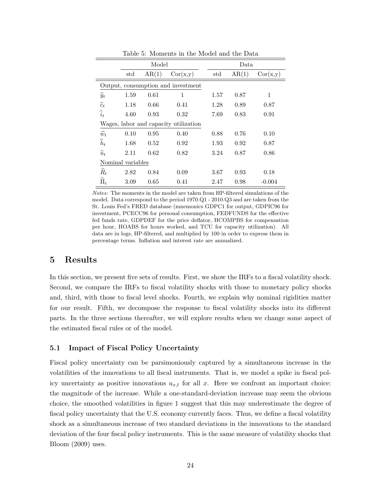|                   |      | Model                                 |                                    |      | Data  |          |  |  |
|-------------------|------|---------------------------------------|------------------------------------|------|-------|----------|--|--|
|                   | std  | AR(1)                                 | Cor(x,y)                           | std  | AR(1) | Cor(x,y) |  |  |
|                   |      |                                       | Output, consumption and investment |      |       |          |  |  |
| $\widehat{y}_t$   | 1.59 | 0.61                                  | 1                                  | 1.57 | 0.87  | 1        |  |  |
| $\widehat{c}_t$   | 1.18 | 0.66                                  | 0.41                               | 1.28 | 0.89  | 0.87     |  |  |
| $\widehat{i}_t$   | 4.60 | 0.93                                  | 0.32                               | 7.69 | 0.83  | 0.91     |  |  |
|                   |      | Wages, labor and capacity utilization |                                    |      |       |          |  |  |
| $\widehat{w}_t$   | 0.10 | 0.95                                  | 0.40                               | 0.88 | 0.76  | 0.10     |  |  |
| $\widehat{h}_t$   | 1.68 | 0.52                                  | 0.92                               | 1.93 | 0.92  | 0.87     |  |  |
| $\widehat{u}_t$   | 2.11 | 0.62                                  | 0.82                               | 3.24 | 0.87  | 0.86     |  |  |
| Nominal variables |      |                                       |                                    |      |       |          |  |  |
| $\widehat R_t$    | 2.82 | 0.84                                  | 0.09                               | 3.67 | 0.93  | 0.18     |  |  |
| $\widehat{\Pi}_t$ | 3.09 | 0.65                                  | 0.41                               | 2.47 | 0.98  | $-0.004$ |  |  |

Table 5: Moments in the Model and the Data

Notes: The moments in the model are taken from HP-filtered simulations of the model. Data correspond to the period 1970.Q1 - 2010.Q3 and are taken from the St. Louis Fed's FRED database (mnemonics GDPC1 for output, GDPIC96 for investment, PCECC96 for personal consumption, FEDFUNDS for the effective fed funds rate, GDPDEF for the price deflator, HCOMPBS for compensation per hour, HOABS for hours worked, and TCU for capacity utilization). All data are in logs, HP-filtered, and multiplied by 100 in order to express them in percentage terms. Inflation and interest rate are annualized.

## 5 Results

In this section, we present five sets of results. First, we show the IRFs to a fiscal volatility shock. Second, we compare the IRFs to fiscal volatility shocks with those to monetary policy shocks and, third, with those to fiscal level shocks. Fourth, we explain why nominal rigidities matter for our result. Fifth, we decompose the response to fiscal volatility shocks into its different parts. In the three sections thereafter, we will explore results when we change some aspect of the estimated fiscal rules or of the model.

## 5.1 Impact of Fiscal Policy Uncertainty

Fiscal policy uncertainty can be parsimoniously captured by a simultaneous increase in the volatilities of the innovations to all fiscal instruments. That is, we model a spike in fiscal policy uncertainty as positive innovations  $u_{x,t}$  for all x. Here we confront an important choice: the magnitude of the increase. While a one-standard-deviation increase may seem the obvious choice, the smoothed volatilities in figure 1 suggest that this may underestimate the degree of fiscal policy uncertainty that the U.S. economy currently faces. Thus, we define a fiscal volatility shock as a simultaneous increase of two standard deviations in the innovations to the standard deviation of the four fiscal policy instruments. This is the same measure of volatility shocks that Bloom (2009) uses.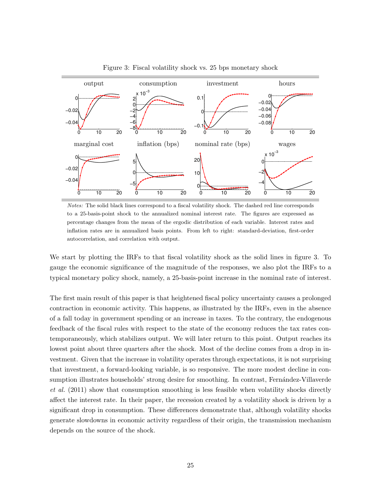

Figure 3: Fiscal volatility shock vs. 25 bps monetary shock

Notes: The solid black lines correspond to a fiscal volatility shock. The dashed red line corresponds to a 25-basis-point shock to the annualized nominal interest rate. The figures are expressed as percentage changes from the mean of the ergodic distribution of each variable. Interest rates and inflation rates are in annualized basis points. From left to right: standard-deviation, first-order autocorrelation, and correlation with output.

We start by plotting the IRFs to that fiscal volatility shock as the solid lines in figure 3. To gauge the economic significance of the magnitude of the responses, we also plot the IRFs to a typical monetary policy shock, namely, a 25-basis-point increase in the nominal rate of interest.

The first main result of this paper is that heightened fiscal policy uncertainty causes a prolonged contraction in economic activity. This happens, as illustrated by the IRFs, even in the absence of a fall today in government spending or an increase in taxes. To the contrary, the endogenous feedback of the fiscal rules with respect to the state of the economy reduces the tax rates contemporaneously, which stabilizes output. We will later return to this point. Output reaches its lowest point about three quarters after the shock. Most of the decline comes from a drop in investment. Given that the increase in volatility operates through expectations, it is not surprising that investment, a forward-looking variable, is so responsive. The more modest decline in consumption illustrates households' strong desire for smoothing. In contrast, Fernández-Villaverde et al. (2011) show that consumption smoothing is less feasible when volatility shocks directly affect the interest rate. In their paper, the recession created by a volatility shock is driven by a significant drop in consumption. These differences demonstrate that, although volatility shocks generate slowdowns in economic activity regardless of their origin, the transmission mechanism depends on the source of the shock.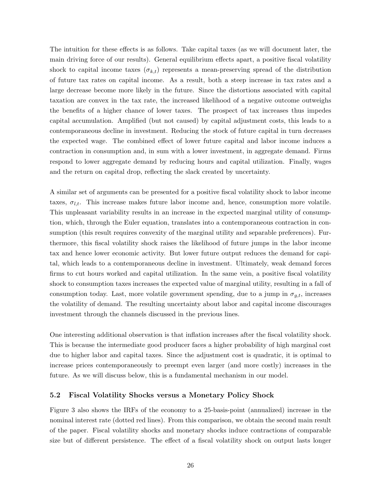The intuition for these effects is as follows. Take capital taxes (as we will document later, the main driving force of our results). General equilibrium effects apart, a positive fiscal volatility shock to capital income taxes  $(\sigma_{k,t})$  represents a mean-preserving spread of the distribution of future tax rates on capital income. As a result, both a steep increase in tax rates and a large decrease become more likely in the future. Since the distortions associated with capital taxation are convex in the tax rate, the increased likelihood of a negative outcome outweighs the benefits of a higher chance of lower taxes. The prospect of tax increases thus impedes capital accumulation. Amplified (but not caused) by capital adjustment costs, this leads to a contemporaneous decline in investment. Reducing the stock of future capital in turn decreases the expected wage. The combined effect of lower future capital and labor income induces a contraction in consumption and, in sum with a lower investment, in aggregate demand. Firms respond to lower aggregate demand by reducing hours and capital utilization. Finally, wages and the return on capital drop, reflecting the slack created by uncertainty.

A similar set of arguments can be presented for a positive fiscal volatility shock to labor income taxes,  $\sigma_{l,t}$ . This increase makes future labor income and, hence, consumption more volatile. This unpleasant variability results in an increase in the expected marginal utility of consumption, which, through the Euler equation, translates into a contemporaneous contraction in consumption (this result requires convexity of the marginal utility and separable preferences). Furthermore, this fiscal volatility shock raises the likelihood of future jumps in the labor income tax and hence lower economic activity. But lower future output reduces the demand for capital, which leads to a contemporaneous decline in investment. Ultimately, weak demand forces firms to cut hours worked and capital utilization. In the same vein, a positive fiscal volatility shock to consumption taxes increases the expected value of marginal utility, resulting in a fall of consumption today. Last, more volatile government spending, due to a jump in  $\sigma_{q,t}$ , increases the volatility of demand. The resulting uncertainty about labor and capital income discourages investment through the channels discussed in the previous lines.

One interesting additional observation is that inflation increases after the fiscal volatility shock. This is because the intermediate good producer faces a higher probability of high marginal cost due to higher labor and capital taxes. Since the adjustment cost is quadratic, it is optimal to increase prices contemporaneously to preempt even larger (and more costly) increases in the future. As we will discuss below, this is a fundamental mechanism in our model.

## 5.2 Fiscal Volatility Shocks versus a Monetary Policy Shock

Figure 3 also shows the IRFs of the economy to a 25-basis-point (annualized) increase in the nominal interest rate (dotted red lines). From this comparison, we obtain the second main result of the paper. Fiscal volatility shocks and monetary shocks induce contractions of comparable size but of different persistence. The effect of a fiscal volatility shock on output lasts longer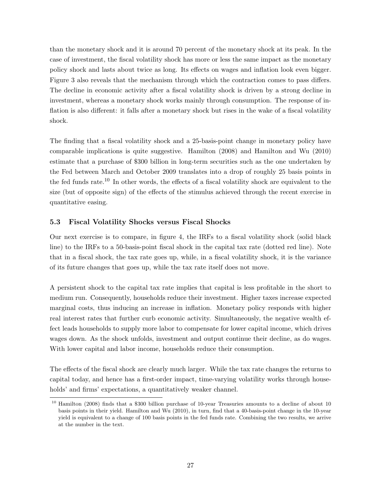than the monetary shock and it is around 70 percent of the monetary shock at its peak. In the case of investment, the fiscal volatility shock has more or less the same impact as the monetary policy shock and lasts about twice as long. Its effects on wages and inflation look even bigger. Figure 3 also reveals that the mechanism through which the contraction comes to pass differs. The decline in economic activity after a fiscal volatility shock is driven by a strong decline in investment, whereas a monetary shock works mainly through consumption. The response of inflation is also different: it falls after a monetary shock but rises in the wake of a fiscal volatility shock.

The finding that a fiscal volatility shock and a 25-basis-point change in monetary policy have comparable implications is quite suggestive. Hamilton (2008) and Hamilton and Wu (2010) estimate that a purchase of \$300 billion in long-term securities such as the one undertaken by the Fed between March and October 2009 translates into a drop of roughly 25 basis points in the fed funds rate.<sup>10</sup> In other words, the effects of a fiscal volatility shock are equivalent to the size (but of opposite sign) of the effects of the stimulus achieved through the recent exercise in quantitative easing.

## 5.3 Fiscal Volatility Shocks versus Fiscal Shocks

Our next exercise is to compare, in figure 4, the IRFs to a fiscal volatility shock (solid black line) to the IRFs to a 50-basis-point fiscal shock in the capital tax rate (dotted red line). Note that in a fiscal shock, the tax rate goes up, while, in a fiscal volatility shock, it is the variance of its future changes that goes up, while the tax rate itself does not move.

A persistent shock to the capital tax rate implies that capital is less profitable in the short to medium run. Consequently, households reduce their investment. Higher taxes increase expected marginal costs, thus inducing an increase in inflation. Monetary policy responds with higher real interest rates that further curb economic activity. Simultaneously, the negative wealth effect leads households to supply more labor to compensate for lower capital income, which drives wages down. As the shock unfolds, investment and output continue their decline, as do wages. With lower capital and labor income, households reduce their consumption.

The effects of the fiscal shock are clearly much larger. While the tax rate changes the returns to capital today, and hence has a first-order impact, time-varying volatility works through households' and firms' expectations, a quantitatively weaker channel.

<sup>&</sup>lt;sup>10</sup> Hamilton (2008) finds that a \$300 billion purchase of 10-year Treasuries amounts to a decline of about 10 basis points in their yield. Hamilton and Wu (2010), in turn, find that a 40-basis-point change in the 10-year yield is equivalent to a change of 100 basis points in the fed funds rate. Combining the two results, we arrive at the number in the text.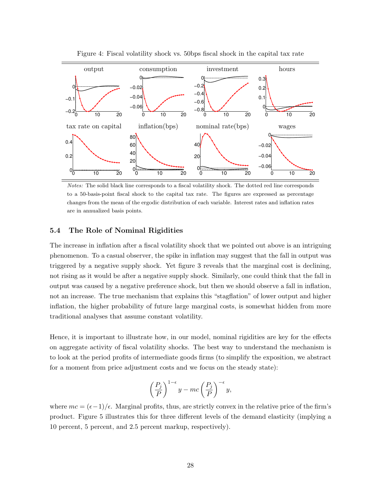

Figure 4: Fiscal volatility shock vs. 50bps fiscal shock in the capital tax rate

Notes: The solid black line corresponds to a fiscal volatility shock. The dotted red line corresponds to a 50-basis-point fiscal shock to the capital tax rate. The figures are expressed as percentage changes from the mean of the ergodic distribution of each variable. Interest rates and inflation rates are in annualized basis points.

## 5.4 The Role of Nominal Rigidities

The increase in inflation after a fiscal volatility shock that we pointed out above is an intriguing phenomenon. To a casual observer, the spike in inflation may suggest that the fall in output was triggered by a negative supply shock. Yet figure 3 reveals that the marginal cost is declining, not rising as it would be after a negative supply shock. Similarly, one could think that the fall in output was caused by a negative preference shock, but then we should observe a fall in inflation, not an increase. The true mechanism that explains this "stagflation" of lower output and higher inflation, the higher probability of future large marginal costs, is somewhat hidden from more traditional analyses that assume constant volatility.

Hence, it is important to illustrate how, in our model, nominal rigidities are key for the effects on aggregate activity of fiscal volatility shocks. The best way to understand the mechanism is to look at the period profits of intermediate goods firms (to simplify the exposition, we abstract for a moment from price adjustment costs and we focus on the steady state):

$$
\left(\frac{P_j}{P}\right)^{1-\epsilon}y - mc\left(\frac{P_j}{P}\right)^{-\epsilon}y,
$$

where  $mc = (\epsilon - 1)/\epsilon$ . Marginal profits, thus, are strictly convex in the relative price of the firm's product. Figure 5 illustrates this for three different levels of the demand elasticity (implying a 10 percent, 5 percent, and 2.5 percent markup, respectively).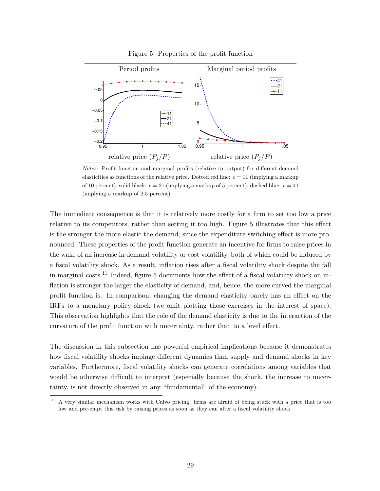

Figure 5: Properties of the profit function

Notes: Profit function and marginal profits (relative to output) for different demand elasticities as functions of the relative price. Dotted red line:  $\epsilon = 11$  (implying a markup of 10 percent), solid black:  $\epsilon = 21$  (implying a markup of 5 percent), dashed blue:  $\epsilon = 41$ (implying a markup of 2.5 percent).

The immediate consequence is that it is relatively more costly for a firm to set too low a price relative to its competitors, rather than setting it too high. Figure 5 illustrates that this effect is the stronger the more elastic the demand, since the expenditure-switching effect is more pronounced. These properties of the profit function generate an incentive for firms to raise prices in the wake of an increase in demand volatility or cost volatility, both of which could be induced by a fiscal volatility shock. As a result, inflation rises after a fiscal volatility shock despite the fall in marginal costs.<sup>11</sup> Indeed, figure 6 documents how the effect of a fiscal volatility shock on inflation is stronger the larger the elasticity of demand, and, hence, the more curved the marginal profit function is. In comparison, changing the demand elasticity barely has an effect on the IRFs to a monetary policy shock (we omit plotting those exercises in the interest of space). This observation highlights that the role of the demand elasticity is due to the interaction of the curvature of the profit function with uncertainty, rather than to a level effect.

The discussion in this subsection has powerful empirical implications because it demonstrates how fiscal volatility shocks impinge different dynamics than supply and demand shocks in key variables. Furthermore, fiscal volatility shocks can generate correlations among variables that would be otherwise difficult to interpret (especially because the shock, the increase to uncertainty, is not directly observed in any "fundamental" of the economy).

<sup>&</sup>lt;sup>11</sup> A very similar mechanism works with Calvo pricing: firms are afraid of being stuck with a price that is too low and pre-empt this risk by raising prices as soon as they can after a fiscal volatility shock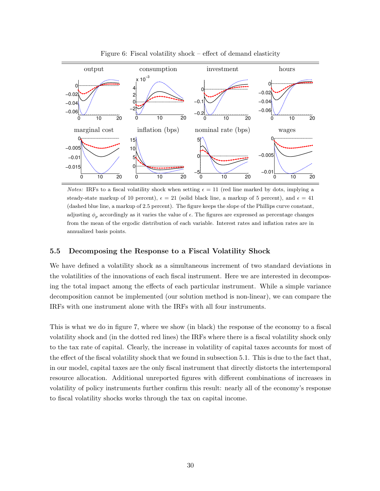

Figure 6: Fiscal volatility shock – effect of demand elasticity

*Notes:* IRFs to a fiscal volatility shock when setting  $\epsilon = 11$  (red line marked by dots, implying a steady-state markup of 10 percent),  $\epsilon = 21$  (solid black line, a markup of 5 percent), and  $\epsilon = 41$ (dashed blue line, a markup of 2.5 percent). The figure keeps the slope of the Phillips curve constant, adjusting  $\phi_p$  accordingly as it varies the value of  $\epsilon$ . The figures are expressed as percentage changes from the mean of the ergodic distribution of each variable. Interest rates and inflation rates are in annualized basis points.

## 5.5 Decomposing the Response to a Fiscal Volatility Shock

We have defined a volatility shock as a simultaneous increment of two standard deviations in the volatilities of the innovations of each fiscal instrument. Here we are interested in decomposing the total impact among the effects of each particular instrument. While a simple variance decomposition cannot be implemented (our solution method is non-linear), we can compare the IRFs with one instrument alone with the IRFs with all four instruments.

This is what we do in figure 7, where we show (in black) the response of the economy to a fiscal volatility shock and (in the dotted red lines) the IRFs where there is a fiscal volatility shock only to the tax rate of capital. Clearly, the increase in volatility of capital taxes accounts for most of the effect of the fiscal volatility shock that we found in subsection 5.1. This is due to the fact that, in our model, capital taxes are the only fiscal instrument that directly distorts the intertemporal resource allocation. Additional unreported figures with different combinations of increases in volatility of policy instruments further confirm this result: nearly all of the economy's response to fiscal volatility shocks works through the tax on capital income.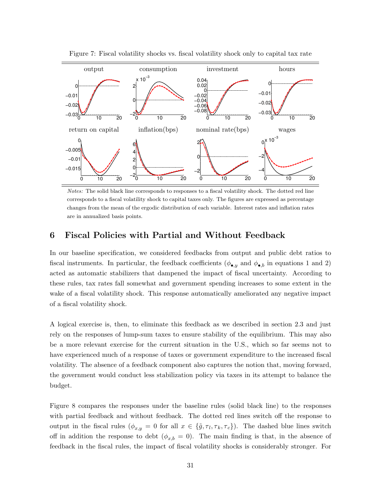

Figure 7: Fiscal volatility shocks vs. fiscal volatility shock only to capital tax rate

Notes: The solid black line corresponds to responses to a fiscal volatility shock. The dotted red line corresponds to a fiscal volatility shock to capital taxes only. The figures are expressed as percentage changes from the mean of the ergodic distribution of each variable. Interest rates and inflation rates are in annualized basis points.

## 6 Fiscal Policies with Partial and Without Feedback

In our baseline specification, we considered feedbacks from output and public debt ratios to fiscal instruments. In particular, the feedback coefficients ( $\phi_{\bullet,y}$  and  $\phi_{\bullet,b}$  in equations 1 and 2) acted as automatic stabilizers that dampened the impact of fiscal uncertainty. According to these rules, tax rates fall somewhat and government spending increases to some extent in the wake of a fiscal volatility shock. This response automatically ameliorated any negative impact of a fiscal volatility shock.

A logical exercise is, then, to eliminate this feedback as we described in section 2.3 and just rely on the responses of lump-sum taxes to ensure stability of the equilibrium. This may also be a more relevant exercise for the current situation in the U.S., which so far seems not to have experienced much of a response of taxes or government expenditure to the increased fiscal volatility. The absence of a feedback component also captures the notion that, moving forward, the government would conduct less stabilization policy via taxes in its attempt to balance the budget.

Figure 8 compares the responses under the baseline rules (solid black line) to the responses with partial feedback and without feedback. The dotted red lines switch off the response to output in the fiscal rules  $(\phi_{x,y} = 0$  for all  $x \in {\tilde{g}, \tau_l, \tau_k, \tau_c}$ . The dashed blue lines switch off in addition the response to debt  $(\phi_{x,b} = 0)$ . The main finding is that, in the absence of feedback in the fiscal rules, the impact of fiscal volatility shocks is considerably stronger. For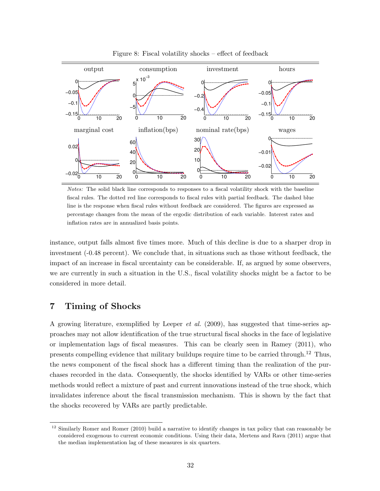

Figure 8: Fiscal volatility shocks – effect of feedback

Notes: The solid black line corresponds to responses to a fiscal volatility shock with the baseline fiscal rules. The dotted red line corresponds to fiscal rules with partial feedback. The dashed blue line is the response when fiscal rules without feedback are considered. The figures are expressed as percentage changes from the mean of the ergodic distribution of each variable. Interest rates and inflation rates are in annualized basis points.

instance, output falls almost five times more. Much of this decline is due to a sharper drop in investment (-0.48 percent). We conclude that, in situations such as those without feedback, the impact of an increase in fiscal urcentainty can be considerable. If, as argued by some observers, we are currently in such a situation in the U.S., fiscal volatility shocks might be a factor to be considered in more detail.

# 7 Timing of Shocks

A growing literature, exemplified by Leeper et al. (2009), has suggested that time-series approaches may not allow identification of the true structural fiscal shocks in the face of legislative or implementation lags of fiscal measures. This can be clearly seen in Ramey (2011), who presents compelling evidence that military buildups require time to be carried through.<sup>12</sup> Thus, the news component of the fiscal shock has a different timing than the realization of the purchases recorded in the data. Consequently, the shocks identified by VARs or other time-series methods would reflect a mixture of past and current innovations instead of the true shock, which invalidates inference about the fiscal transmission mechanism. This is shown by the fact that the shocks recovered by VARs are partly predictable.

<sup>&</sup>lt;sup>12</sup> Similarly Romer and Romer (2010) build a narrative to identify changes in tax policy that can reasonably be considered exogenous to current economic conditions. Using their data, Mertens and Ravn (2011) argue that the median implementation lag of these measures is six quarters.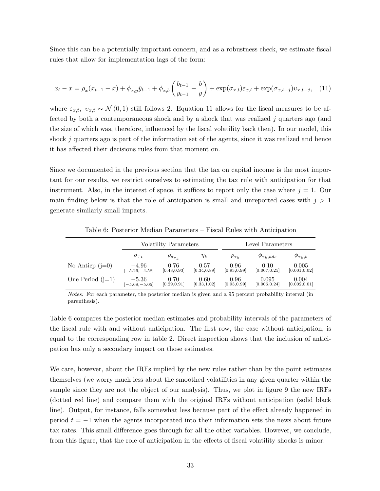Since this can be a potentially important concern, and as a robustness check, we estimate fiscal rules that allow for implementation lags of the form:

$$
x_t - x = \rho_x (x_{t-1} - x) + \phi_{x,y} \tilde{y}_{t-1} + \phi_{x,b} \left( \frac{b_{t-1}}{y_{t-1}} - \frac{b}{y} \right) + \exp(\sigma_{x,t}) \varepsilon_{x,t} + \exp(\sigma_{x,t-j}) v_{x,t-j}, \quad (11)
$$

where  $\varepsilon_{x,t}$ ,  $v_{x,t} \sim \mathcal{N}(0,1)$  still follows 2. Equation 11 allows for the fiscal measures to be affected by both a contemporaneous shock and by a shock that was realized  $j$  quarters ago (and the size of which was, therefore, influenced by the fiscal volatility back then). In our model, this shock  $j$  quarters ago is part of the information set of the agents, since it was realized and hence it has affected their decisions rules from that moment on.

Since we documented in the previous section that the tax on capital income is the most important for our results, we restrict ourselves to estimating the tax rule with anticipation for that instrument. Also, in the interest of space, it suffices to report only the case where  $j = 1$ . Our main finding below is that the role of anticipation is small and unreported cases with  $j > 1$ generate similarly small impacts.

|                    | Volatility Parameters |                         |              | Level Parameters |                        |                   |
|--------------------|-----------------------|-------------------------|--------------|------------------|------------------------|-------------------|
|                    | $\sigma_{\tau_k}$     | $\mu_{\sigma_{\tau_k}}$ | $\eta_k$     | $\mu_{\tau_k}$   | $\varphi_{\tau_k,ads}$ | $\phi_{\tau_k,b}$ |
| No Anticp $(i=0)$  | $-4.96$               | 0.76                    | 0.57         | 0.96             | 0.10                   | 0.005             |
|                    | $[-5.26, -4.58]$      | [0.48, 0.93]            | [0.34, 0.89] | [0.93, 0.99]     | [0.007, 0.25]          | [0.001, 0.02]     |
| One Period $(j=1)$ | $-5.36$               | 0.70                    | 0.60         | 0.96             | 0.095                  | 0.004             |
|                    | $[-5.68, -5.05]$      | [0.29, 0.91]            | [0.33, 1.02] | [0.93, 0.99]     | [0.006, 0.24]          | [0.002, 0.01]     |

Table 6: Posterior Median Parameters – Fiscal Rules with Anticipation

Notes: For each parameter, the posterior median is given and a 95 percent probability interval (in parenthesis).

Table 6 compares the posterior median estimates and probability intervals of the parameters of the fiscal rule with and without anticipation. The first row, the case without anticipation, is equal to the corresponding row in table 2. Direct inspection shows that the inclusion of anticipation has only a secondary impact on those estimates.

We care, however, about the IRFs implied by the new rules rather than by the point estimates themselves (we worry much less about the smoothed volatilities in any given quarter within the sample since they are not the object of our analysis). Thus, we plot in figure 9 the new IRFs (dotted red line) and compare them with the original IRFs without anticipation (solid black line). Output, for instance, falls somewhat less because part of the effect already happened in period  $t = -1$  when the agents incorporated into their information sets the news about future tax rates. This small difference goes through for all the other variables. However, we conclude, from this figure, that the role of anticipation in the effects of fiscal volatility shocks is minor.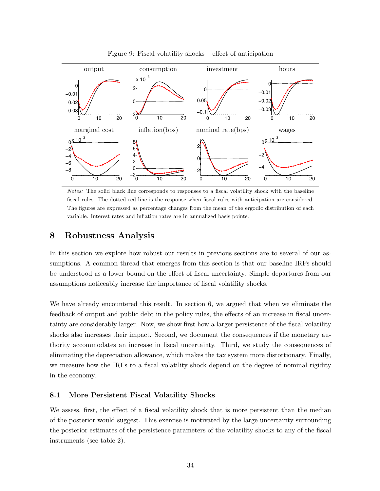

Figure 9: Fiscal volatility shocks – effect of anticipation

Notes: The solid black line corresponds to responses to a fiscal volatility shock with the baseline fiscal rules. The dotted red line is the response when fiscal rules with anticipation are considered. The figures are expressed as percentage changes from the mean of the ergodic distribution of each variable. Interest rates and inflation rates are in annualized basis points.

# 8 Robustness Analysis

In this section we explore how robust our results in previous sections are to several of our assumptions. A common thread that emerges from this section is that our baseline IRFs should be understood as a lower bound on the effect of fiscal uncertainty. Simple departures from our assumptions noticeably increase the importance of fiscal volatility shocks.

We have already encountered this result. In section 6, we argued that when we eliminate the feedback of output and public debt in the policy rules, the effects of an increase in fiscal uncertainty are considerably larger. Now, we show first how a larger persistence of the fiscal volatility shocks also increases their impact. Second, we document the consequences if the monetary authority accommodates an increase in fiscal uncertainty. Third, we study the consequences of eliminating the depreciation allowance, which makes the tax system more distortionary. Finally, we measure how the IRFs to a fiscal volatility shock depend on the degree of nominal rigidity in the economy.

## 8.1 More Persistent Fiscal Volatility Shocks

We assess, first, the effect of a fiscal volatility shock that is more persistent than the median of the posterior would suggest. This exercise is motivated by the large uncertainty surrounding the posterior estimates of the persistence parameters of the volatility shocks to any of the fiscal instruments (see table 2).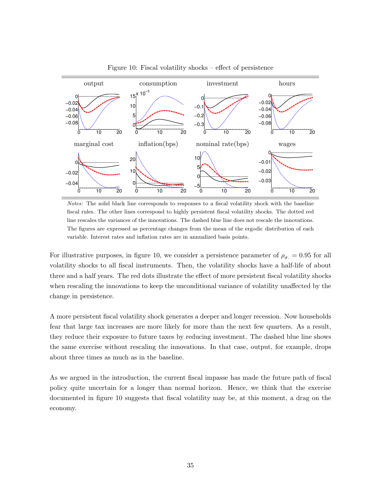

Notes: The solid black line corresponds to responses to a fiscal volatility shock with the baseline fiscal rules. The other lines correspond to highly persistent fiscal volatility shocks. The dotted red line rescales the variances of the innovations. The dashed blue line does not rescale the innovations. The figures are expressed as percentage changes from the mean of the ergodic distribution of each variable. Interest rates and inflation rates are in annualized basis points.

For illustrative purposes, in figure 10, we consider a persistence parameter of  $\rho_{\sigma} = 0.95$  for all volatility shocks to all fiscal instruments. Then, the volatility shocks have a half-life of about three and a half years. The red dots illustrate the effect of more persistent fiscal volatility shocks when rescaling the innovations to keep the unconditional variance of volatility unaffected by the change in persistence.

A more persistent fiscal volatility shock generates a deeper and longer recession. Now households fear that large tax increases are more likely for more than the next few quarters. As a result, they reduce their exposure to future taxes by reducing investment. The dashed blue line shows the same exercise without rescaling the innovations. In that case, output, for example, drops about three times as much as in the baseline.

As we argued in the introduction, the current fiscal impasse has made the future path of fiscal policy quite uncertain for a longer than normal horizon. Hence, we think that the exercise documented in figure 10 suggests that fiscal volatility may be, at this moment, a drag on the economy.

Figure 10: Fiscal volatility shocks – effect of persistence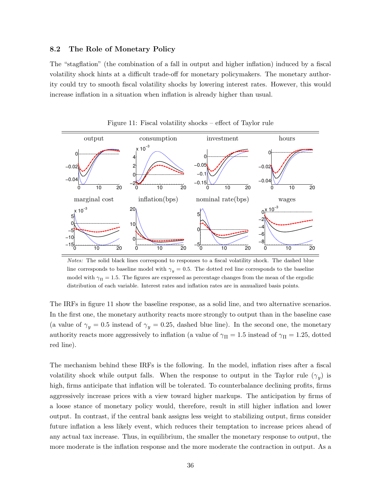## 8.2 The Role of Monetary Policy

The "stagflation" (the combination of a fall in output and higher inflation) induced by a fiscal volatility shock hints at a difficult trade-off for monetary policymakers. The monetary authority could try to smooth fiscal volatility shocks by lowering interest rates. However, this would increase inflation in a situation when inflation is already higher than usual.



Figure 11: Fiscal volatility shocks – effect of Taylor rule

Notes: The solid black lines correspond to responses to a fiscal volatility shock. The dashed blue line corresponds to baseline model with  $\gamma_y = 0.5$ . The dotted red line corresponds to the baseline model with  $\gamma_{\Pi} = 1.5$ . The figures are expressed as percentage changes from the mean of the ergodic distribution of each variable. Interest rates and inflation rates are in annualized basis points.

The IRFs in figure 11 show the baseline response, as a solid line, and two alternative scenarios. In the first one, the monetary authority reacts more strongly to output than in the baseline case (a value of  $\gamma_y = 0.5$  instead of  $\gamma_y = 0.25$ , dashed blue line). In the second one, the monetary authority reacts more aggressively to inflation (a value of  $\gamma_{\Pi} = 1.5$  instead of  $\gamma_{\Pi} = 1.25$ , dotted red line).

The mechanism behind these IRFs is the following. In the model, inflation rises after a fiscal volatility shock while output falls. When the response to output in the Taylor rule  $(\gamma_y)$  is high, firms anticipate that inflation will be tolerated. To counterbalance declining profits, firms aggressively increase prices with a view toward higher markups. The anticipation by firms of a loose stance of monetary policy would, therefore, result in still higher inflation and lower output. In contrast, if the central bank assigns less weight to stabilizing output, firms consider future inflation a less likely event, which reduces their temptation to increase prices ahead of any actual tax increase. Thus, in equilibrium, the smaller the monetary response to output, the more moderate is the inflation response and the more moderate the contraction in output. As a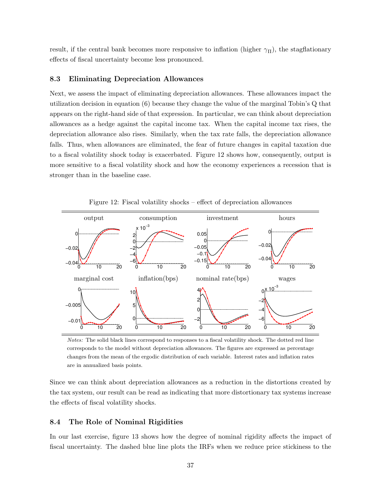result, if the central bank becomes more responsive to inflation (higher  $\gamma_{\text{II}}$ ), the stagflationary effects of fiscal uncertainty become less pronounced.

#### 8.3 Eliminating Depreciation Allowances

Next, we assess the impact of eliminating depreciation allowances. These allowances impact the utilization decision in equation (6) because they change the value of the marginal Tobin's Q that appears on the right-hand side of that expression. In particular, we can think about depreciation allowances as a hedge against the capital income tax. When the capital income tax rises, the depreciation allowance also rises. Similarly, when the tax rate falls, the depreciation allowance falls. Thus, when allowances are eliminated, the fear of future changes in capital taxation due to a fiscal volatility shock today is exacerbated. Figure 12 shows how, consequently, output is more sensitive to a fiscal volatility shock and how the economy experiences a recession that is stronger than in the baseline case.



Figure 12: Fiscal volatility shocks – effect of depreciation allowances

Notes: The solid black lines correspond to responses to a fiscal volatility shock. The dotted red line corresponds to the model without depreciation allowances. The figures are expressed as percentage changes from the mean of the ergodic distribution of each variable. Interest rates and inflation rates are in annualized basis points.

Since we can think about depreciation allowances as a reduction in the distortions created by the tax system, our result can be read as indicating that more distortionary tax systems increase the effects of fiscal volatility shocks.

## 8.4 The Role of Nominal Rigidities

In our last exercise, figure 13 shows how the degree of nominal rigidity affects the impact of fiscal uncertainty. The dashed blue line plots the IRFs when we reduce price stickiness to the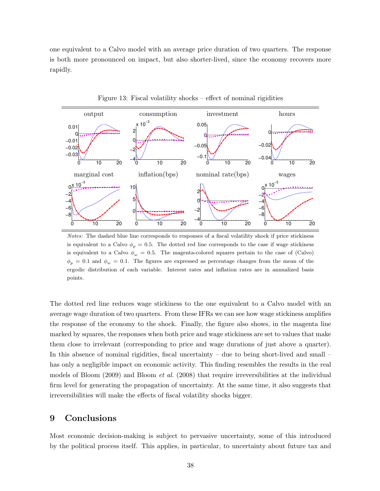one equivalent to a Calvo model with an average price duration of two quarters. The response is both more pronounced on impact, but also shorter-lived, since the economy recovers more rapidly.



Figure 13: Fiscal volatility shocks – effect of nominal rigidities

Notes: The dashed blue line corresponds to responses of a fiscal volatility shock if price stickiness is equivalent to a Calvo  $\phi_p = 0.5$ . The dotted red line corresponds to the case if wage stickiness is equivalent to a Calvo  $\phi_w = 0.5$ . The magenta-colored squares pertain to the case of (Calvo)  $\phi_p = 0.1$  and  $\phi_w = 0.1$ . The figures are expressed as percentage changes from the mean of the ergodic distribution of each variable. Interest rates and inflation rates are in annualized basis points.

The dotted red line reduces wage stickiness to the one equivalent to a Calvo model with an average wage duration of two quarters. From these IFRs we can see how wage stickiness amplifies the response of the economy to the shock. Finally, the figure also shows, in the magenta line marked by squares, the responses when both price and wage stickiness are set to values that make them close to irrelevant (corresponding to price and wage durations of just above a quarter). In this absence of nominal rigidities, fiscal uncertainty – due to being short-lived and small – has only a negligible impact on economic activity. This finding resembles the results in the real models of Bloom  $(2009)$  and Bloom *et al.*  $(2008)$  that require irreversibilities at the individual firm level for generating the propagation of uncertainty. At the same time, it also suggests that irreversibilities will make the effects of fiscal volatility shocks bigger.

# 9 Conclusions

Most economic decision-making is subject to pervasive uncertainty, some of this introduced by the political process itself. This applies, in particular, to uncertainty about future tax and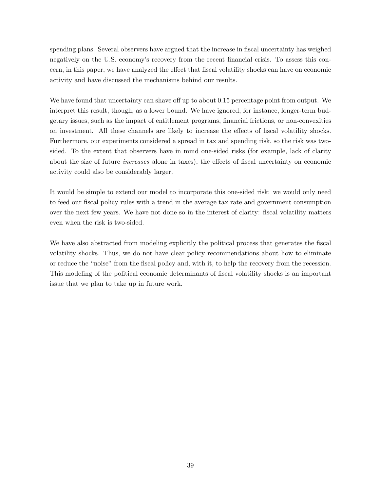spending plans. Several observers have argued that the increase in fiscal uncertainty has weighed negatively on the U.S. economy's recovery from the recent financial crisis. To assess this concern, in this paper, we have analyzed the effect that fiscal volatility shocks can have on economic activity and have discussed the mechanisms behind our results.

We have found that uncertainty can shave off up to about 0.15 percentage point from output. We interpret this result, though, as a lower bound. We have ignored, for instance, longer-term budgetary issues, such as the impact of entitlement programs, financial frictions, or non-convexities on investment. All these channels are likely to increase the effects of fiscal volatility shocks. Furthermore, our experiments considered a spread in tax and spending risk, so the risk was twosided. To the extent that observers have in mind one-sided risks (for example, lack of clarity about the size of future increases alone in taxes), the effects of fiscal uncertainty on economic activity could also be considerably larger.

It would be simple to extend our model to incorporate this one-sided risk: we would only need to feed our fiscal policy rules with a trend in the average tax rate and government consumption over the next few years. We have not done so in the interest of clarity: fiscal volatility matters even when the risk is two-sided.

We have also abstracted from modeling explicitly the political process that generates the fiscal volatility shocks. Thus, we do not have clear policy recommendations about how to eliminate or reduce the "noise" from the fiscal policy and, with it, to help the recovery from the recession. This modeling of the political economic determinants of fiscal volatility shocks is an important issue that we plan to take up in future work.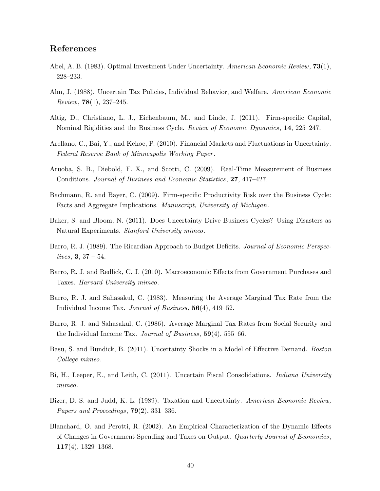# References

- Abel, A. B. (1983). Optimal Investment Under Uncertainty. American Economic Review, 73(1), 228–233.
- Alm, J. (1988). Uncertain Tax Policies, Individual Behavior, and Welfare. American Economic *Review*,  $78(1)$ ,  $237-245$ .
- Altig, D., Christiano, L. J., Eichenbaum, M., and Linde, J. (2011). Firm-specific Capital, Nominal Rigidities and the Business Cycle. Review of Economic Dynamics, 14, 225–247.
- Arellano, C., Bai, Y., and Kehoe, P. (2010). Financial Markets and Fluctuations in Uncertainty. Federal Reserve Bank of Minneapolis Working Paper .
- Aruoba, S. B., Diebold, F. X., and Scotti, C. (2009). Real-Time Measurement of Business Conditions. Journal of Business and Economic Statistics, 27, 417–427.
- Bachmann, R. and Bayer, C. (2009). Firm-specific Productivity Risk over the Business Cycle: Facts and Aggregate Implications. Manuscript, University of Michigan.
- Baker, S. and Bloom, N. (2011). Does Uncertainty Drive Business Cycles? Using Disasters as Natural Experiments. Stanford University mimeo.
- Barro, R. J. (1989). The Ricardian Approach to Budget Deficits. *Journal of Economic Perspec*tives,  $3, 37 - 54$ .
- Barro, R. J. and Redlick, C. J. (2010). Macroeconomic Effects from Government Purchases and Taxes. Harvard University mimeo.
- Barro, R. J. and Sahasakul, C. (1983). Measuring the Average Marginal Tax Rate from the Individual Income Tax. Journal of Business, 56(4), 419–52.
- Barro, R. J. and Sahasakul, C. (1986). Average Marginal Tax Rates from Social Security and the Individual Income Tax. Journal of Business,  $59(4)$ ,  $555-66$ .
- Basu, S. and Bundick, B. (2011). Uncertainty Shocks in a Model of Effective Demand. Boston College mimeo.
- Bi, H., Leeper, E., and Leith, C. (2011). Uncertain Fiscal Consolidations. Indiana University mimeo.
- Bizer, D. S. and Judd, K. L. (1989). Taxation and Uncertainty. American Economic Review, Papers and Proceedings,  $79(2)$ , 331–336.
- Blanchard, O. and Perotti, R. (2002). An Empirical Characterization of the Dynamic Effects of Changes in Government Spending and Taxes on Output. Quarterly Journal of Economics,  $117(4)$ , 1329–1368.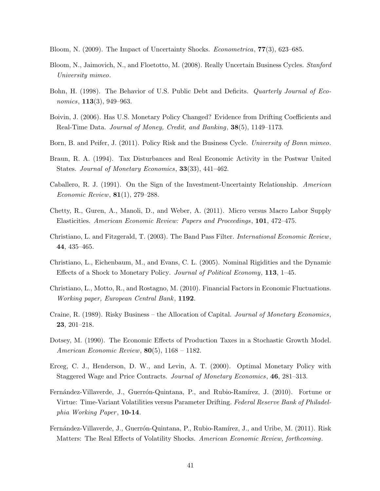Bloom, N. (2009). The Impact of Uncertainty Shocks. Econometrica, 77(3), 623–685.

- Bloom, N., Jaimovich, N., and Floetotto, M. (2008). Really Uncertain Business Cycles. Stanford University mimeo.
- Bohn, H. (1998). The Behavior of U.S. Public Debt and Deficits. *Quarterly Journal of Eco*nomics,  $113(3)$ , 949–963.
- Boivin, J. (2006). Has U.S. Monetary Policy Changed? Evidence from Drifting Coefficients and Real-Time Data. Journal of Money, Credit, and Banking, 38(5), 1149–1173.
- Born, B. and Peifer, J. (2011). Policy Risk and the Business Cycle. University of Bonn mimeo.
- Braun, R. A. (1994). Tax Disturbances and Real Economic Activity in the Postwar United States. Journal of Monetary Economics, 33(33), 441–462.
- Caballero, R. J. (1991). On the Sign of the Investment-Uncertainty Relationship. American Economic Review, 81(1), 279–288.
- Chetty, R., Guren, A., Manoli, D., and Weber, A. (2011). Micro versus Macro Labor Supply Elasticities. American Economic Review: Papers and Proceedings, 101, 472–475.
- Christiano, L. and Fitzgerald, T. (2003). The Band Pass Filter. International Economic Review, 44, 435–465.
- Christiano, L., Eichenbaum, M., and Evans, C. L. (2005). Nominal Rigidities and the Dynamic Effects of a Shock to Monetary Policy. Journal of Political Economy, 113, 1–45.
- Christiano, L., Motto, R., and Rostagno, M. (2010). Financial Factors in Economic Fluctuations. Working paper, European Central Bank, 1192.
- Craine, R. (1989). Risky Business the Allocation of Capital. Journal of Monetary Economics, 23, 201–218.
- Dotsey, M. (1990). The Economic Effects of Production Taxes in a Stochastic Growth Model. American Economic Review,  $80(5)$ , 1168 – 1182.
- Erceg, C. J., Henderson, D. W., and Levin, A. T. (2000). Optimal Monetary Policy with Staggered Wage and Price Contracts. Journal of Monetary Economics, 46, 281–313.
- Fernández-Villaverde, J., Guerrón-Quintana, P., and Rubio-Ramírez, J. (2010). Fortune or Virtue: Time-Variant Volatilities versus Parameter Drifting. Federal Reserve Bank of Philadelphia Working Paper, 10-14.
- Fernández-Villaverde, J., Guerrón-Quintana, P., Rubio-Ramírez, J., and Uribe, M. (2011). Risk Matters: The Real Effects of Volatility Shocks. American Economic Review, forthcoming.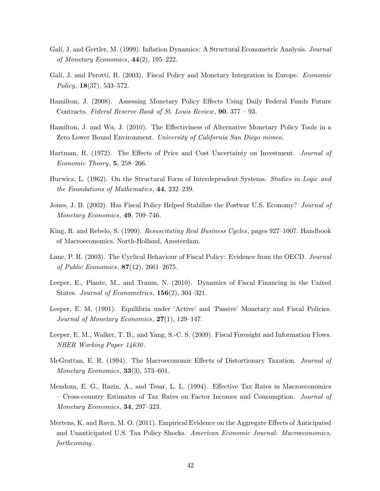- Galí, J. and Gertler, M. (1999). Inflation Dynamics: A Structural Econometric Analysis. *Journal* of Monetary Economics,  $44(2)$ , 195–222.
- Galí, J. and Perotti, R. (2003). Fiscal Policy and Monetary Integration in Europe. *Economic* Policy,  $18(37)$ ,  $533-572$ .
- Hamilton, J. (2008). Assessing Monetary Policy Effects Using Daily Federal Funds Future Contracts. Federal Reserve Bank of St. Louis Review, 90, 377 – 93.
- Hamilton, J. and Wu, J. (2010). The Effectiviness of Alternative Monetary Policy Tools in a Zero Lower Bound Environment. University of California San Diego mimeo.
- Hartman, R. (1972). The Effects of Price and Cost Uncertainty on Investment. *Journal of* Economic Theory, 5, 258–266.
- Hurwicz, L. (1962). On the Structural Form of Interdependent Systems. Studies in Logic and the Foundations of Mathematics, 44, 232–239.
- Jones, J. B. (2002). Has Fiscal Policy Helped Stabilize the Postwar U.S. Economy? *Journal of* Monetary Economics, **49**, 709–746.
- King, R. and Rebelo, S. (1999). *Resuscitating Real Business Cycles*, pages 927–1007. Handbook of Macroeconomics. North-Holland, Amsterdam.
- Lane, P. R. (2003). The Cyclical Behaviour of Fiscal Policy: Evidence from the OECD. Journal of Public Economics, 87(12), 2661–2675.
- Leeper, E., Plante, M., and Traum, N. (2010). Dynamics of Fiscal Financing in the United States. Journal of Econometrics,  $156(2)$ ,  $304-321$ .
- Leeper, E. M. (1991). Equilibria under 'Active' and 'Passive' Monetary and Fiscal Policies. Journal of Monetary Economics,  $27(1)$ , 129-147.
- Leeper, E. M., Walker, T. B., and Yang, S.-C. S. (2009). Fiscal Foresight and Information Flows. NBER Working Paper 14630 .
- McGrattan, E. R. (1994). The Macroeconomic Effects of Distortionary Taxation. Journal of Monetary Economics,  $33(3)$ , 573-601.
- Mendoza, E. G., Razin, A., and Tesar, L. L. (1994). Effective Tax Rates in Macroeconomics – Cross-country Estimates of Tax Rates on Factor Incomes and Consumption. Journal of Monetary Economics, **34**, 297–323.
- Mertens, K. and Ravn, M. O. (2011). Empirical Evidence on the Aggregate Effects of Anticipated and Unanticipated U.S. Tax Policy Shocks. American Economic Journal: Macroeconomics, forthcoming.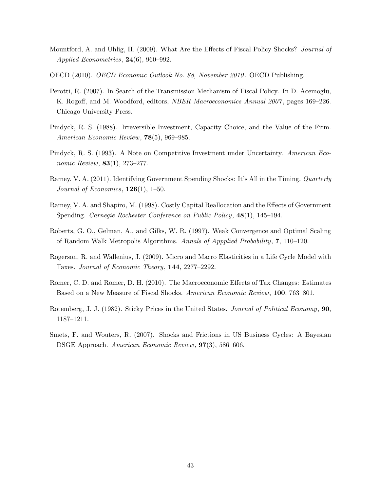- Mountford, A. and Uhlig, H. (2009). What Are the Effects of Fiscal Policy Shocks? Journal of Applied Econometrics,  $24(6)$ , 960–992.
- OECD (2010). OECD Economic Outlook No. 88, November 2010 . OECD Publishing.
- Perotti, R. (2007). In Search of the Transmission Mechanism of Fiscal Policy. In D. Acemoglu, K. Rogoff, and M. Woodford, editors, *NBER Macroeconomics Annual 2007*, pages 169–226. Chicago University Press.
- Pindyck, R. S. (1988). Irreversible Investment, Capacity Choice, and the Value of the Firm. American Economic Review, 78(5), 969–985.
- Pindyck, R. S. (1993). A Note on Competitive Investment under Uncertainty. American Economic Review, **83**(1), 273–277.
- Ramey, V. A. (2011). Identifying Government Spending Shocks: It's All in the Timing. *Quarterly* Journal of Economics,  $126(1)$ , 1–50.
- Ramey, V. A. and Shapiro, M. (1998). Costly Capital Reallocation and the Effects of Government Spending. Carnegie Rochester Conference on Public Policy, 48(1), 145–194.
- Roberts, G. O., Gelman, A., and Gilks, W. R. (1997). Weak Convergence and Optimal Scaling of Random Walk Metropolis Algorithms. Annals of Appplied Probability, 7, 110–120.
- Rogerson, R. and Wallenius, J. (2009). Micro and Macro Elasticities in a Life Cycle Model with Taxes. Journal of Economic Theory, 144, 2277–2292.
- Romer, C. D. and Romer, D. H. (2010). The Macroeconomic Effects of Tax Changes: Estimates Based on a New Measure of Fiscal Shocks. American Economic Review, 100, 763–801.
- Rotemberg, J. J. (1982). Sticky Prices in the United States. *Journal of Political Economy*, **90**, 1187–1211.
- Smets, F. and Wouters, R. (2007). Shocks and Frictions in US Business Cycles: A Bayesian DSGE Approach. American Economic Review, 97(3), 586–606.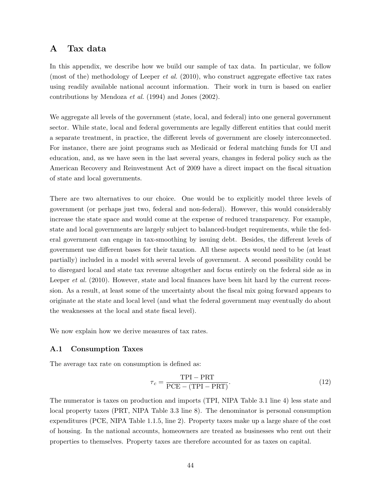# A Tax data

In this appendix, we describe how we build our sample of tax data. In particular, we follow (most of the) methodology of Leeper *et al.* (2010), who construct aggregate effective tax rates using readily available national account information. Their work in turn is based on earlier contributions by Mendoza et al. (1994) and Jones (2002).

We aggregate all levels of the government (state, local, and federal) into one general government sector. While state, local and federal governments are legally different entities that could merit a separate treatment, in practice, the different levels of government are closely interconnected. For instance, there are joint programs such as Medicaid or federal matching funds for UI and education, and, as we have seen in the last several years, changes in federal policy such as the American Recovery and Reinvestment Act of 2009 have a direct impact on the fiscal situation of state and local governments.

There are two alternatives to our choice. One would be to explicitly model three levels of government (or perhaps just two, federal and non-federal). However, this would considerably increase the state space and would come at the expense of reduced transparency. For example, state and local governments are largely subject to balanced-budget requirements, while the federal government can engage in tax-smoothing by issuing debt. Besides, the different levels of government use different bases for their taxation. All these aspects would need to be (at least partially) included in a model with several levels of government. A second possibility could be to disregard local and state tax revenue altogether and focus entirely on the federal side as in Leeper *et al.* (2010). However, state and local finances have been hit hard by the current recession. As a result, at least some of the uncertainty about the fiscal mix going forward appears to originate at the state and local level (and what the federal government may eventually do about the weaknesses at the local and state fiscal level).

We now explain how we derive measures of tax rates.

## A.1 Consumption Taxes

The average tax rate on consumption is defined as:

$$
\tau_c = \frac{\text{TPI} - \text{PRT}}{\text{PCE} - (\text{TPI} - \text{PRT})}.\tag{12}
$$

The numerator is taxes on production and imports (TPI, NIPA Table 3.1 line 4) less state and local property taxes (PRT, NIPA Table 3.3 line 8). The denominator is personal consumption expenditures (PCE, NIPA Table 1.1.5, line 2). Property taxes make up a large share of the cost of housing. In the national accounts, homeowners are treated as businesses who rent out their properties to themselves. Property taxes are therefore accounted for as taxes on capital.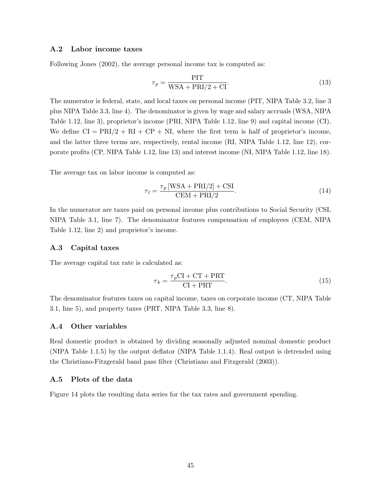## A.2 Labor income taxes

Following Jones (2002), the average personal income tax is computed as:

$$
\tau_p = \frac{\text{PIT}}{\text{WSA} + \text{PRI}/2 + \text{CI}}.\tag{13}
$$

The numerator is federal, state, and local taxes on personal income (PIT, NIPA Table 3.2, line 3 plus NIPA Table 3.3, line 4). The denominator is given by wage and salary accruals (WSA, NIPA Table 1.12, line 3), proprietor's income (PRI, NIPA Table 1.12, line 9) and capital income (CI). We define  $CI = PRI/2 + RI + CP + NI$ , where the first term is half of proprietor's income, and the latter three terms are, respectively, rental income (RI, NIPA Table 1.12, line 12), corporate profits (CP, NIPA Table 1.12, line 13) and interest income (NI, NIPA Table 1.12, line 18).

The average tax on labor income is computed as:

$$
\tau_l = \frac{\tau_p \left[ \text{WSA} + \text{PRI}/2 \right] + \text{CSI}}{\text{CEM} + \text{PRI}/2}.
$$
\n(14)

In the numerator are taxes paid on personal income plus contributions to Social Security (CSI, NIPA Table 3.1, line 7). The denominator features compensation of employees (CEM, NIPA Table 1.12, line 2) and proprietor's income.

## A.3 Capital taxes

The average capital tax rate is calculated as:

$$
\tau_k = \frac{\tau_p \text{CI} + \text{CT} + \text{PRT}}{\text{CI} + \text{PRT}}.\tag{15}
$$

The denominator features taxes on capital income, taxes on corporate income (CT, NIPA Table 3.1, line 5), and property taxes (PRT, NIPA Table 3.3, line 8).

## A.4 Other variables

Real domestic product is obtained by dividing seasonally adjusted nominal domestic product (NIPA Table 1.1.5) by the output deflator (NIPA Table 1.1.4). Real output is detrended using the Christiano-Fitzgerald band pass filter (Christiano and Fitzgerald (2003)).

## A.5 Plots of the data

Figure 14 plots the resulting data series for the tax rates and government spending.